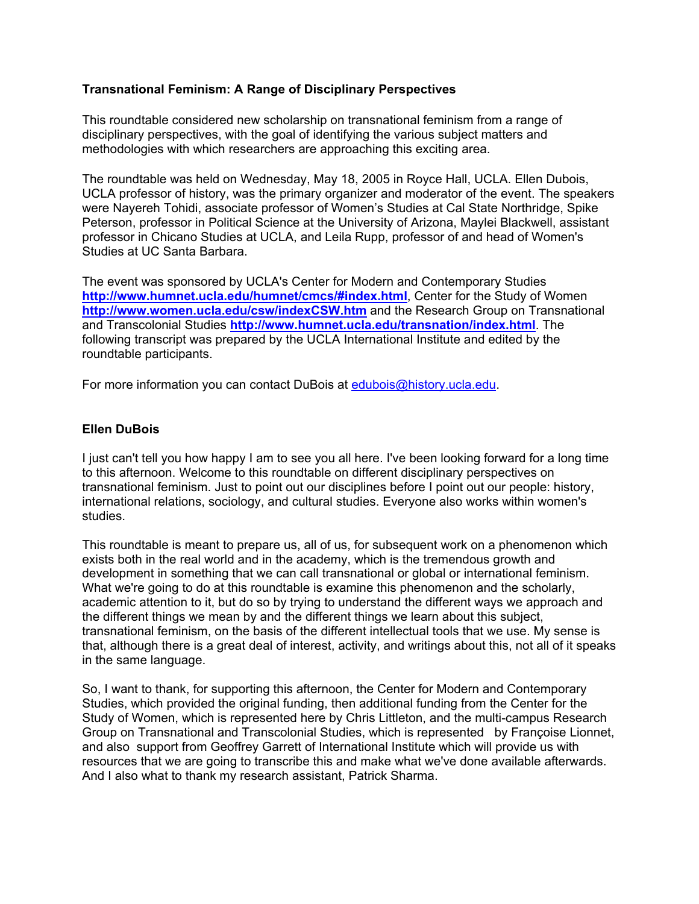# **Transnational Feminism: A Range of Disciplinary Perspectives**

This roundtable considered new scholarship on transnational feminism from a range of disciplinary perspectives, with the goal of identifying the various subject matters and methodologies with which researchers are approaching this exciting area.

The roundtable was held on Wednesday, May 18, 2005 in Royce Hall, UCLA. Ellen Dubois, UCLA professor of history, was the primary organizer and moderator of the event. The speakers were Nayereh Tohidi, associate professor of Women's Studies at Cal State Northridge, Spike Peterson, professor in Political Science at the University of Arizona, Maylei Blackwell, assistant professor in Chicano Studies at UCLA, and Leila Rupp, professor of and head of Women's Studies at UC Santa Barbara.

The event was sponsored by UCLA's Center for Modern and Contemporary Studies **http://www.humnet.ucla.edu/humnet/cmcs/#index.html**, Center for the Study of Women **http://www.women.ucla.edu/csw/indexCSW.htm** and the Research Group on Transnational and Transcolonial Studies **http://www.humnet.ucla.edu/transnation/index.html**. The following transcript was prepared by the UCLA International Institute and edited by the roundtable participants.

For more information you can contact DuBois at edubois@history.ucla.edu.

# **Ellen DuBois**

I just can't tell you how happy I am to see you all here. I've been looking forward for a long time to this afternoon. Welcome to this roundtable on different disciplinary perspectives on transnational feminism. Just to point out our disciplines before I point out our people: history, international relations, sociology, and cultural studies. Everyone also works within women's studies.

This roundtable is meant to prepare us, all of us, for subsequent work on a phenomenon which exists both in the real world and in the academy, which is the tremendous growth and development in something that we can call transnational or global or international feminism. What we're going to do at this roundtable is examine this phenomenon and the scholarly, academic attention to it, but do so by trying to understand the different ways we approach and the different things we mean by and the different things we learn about this subject, transnational feminism, on the basis of the different intellectual tools that we use. My sense is that, although there is a great deal of interest, activity, and writings about this, not all of it speaks in the same language.

So, I want to thank, for supporting this afternoon, the Center for Modern and Contemporary Studies, which provided the original funding, then additional funding from the Center for the Study of Women, which is represented here by Chris Littleton, and the multi-campus Research Group on Transnational and Transcolonial Studies, which is represented by Françoise Lionnet, and also support from Geoffrey Garrett of International Institute which will provide us with resources that we are going to transcribe this and make what we've done available afterwards. And I also what to thank my research assistant, Patrick Sharma.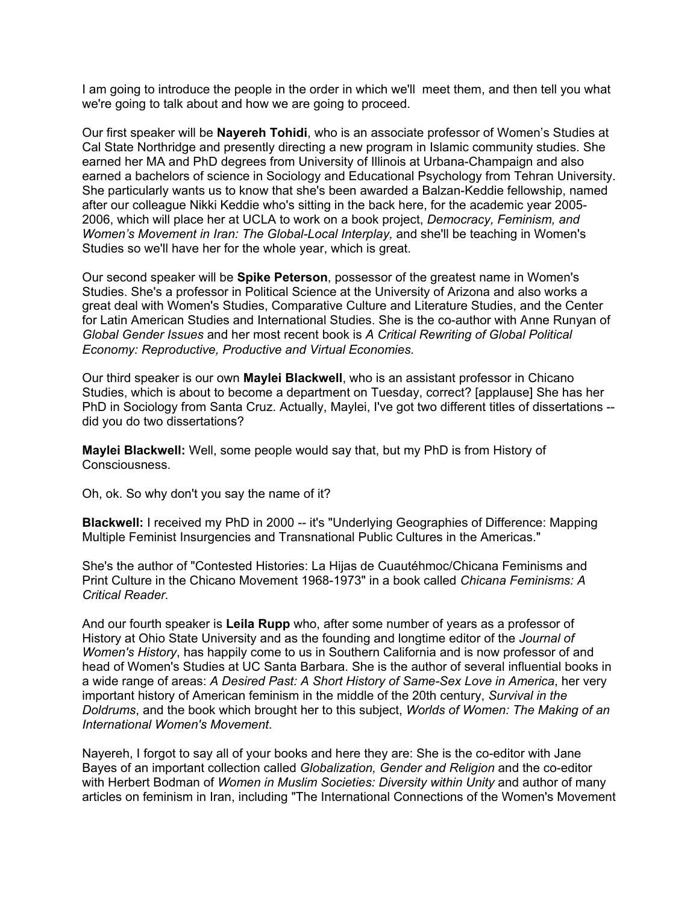I am going to introduce the people in the order in which we'll meet them, and then tell you what we're going to talk about and how we are going to proceed.

Our first speaker will be **Nayereh Tohidi**, who is an associate professor of Women's Studies at Cal State Northridge and presently directing a new program in Islamic community studies. She earned her MA and PhD degrees from University of Illinois at Urbana-Champaign and also earned a bachelors of science in Sociology and Educational Psychology from Tehran University. She particularly wants us to know that she's been awarded a Balzan-Keddie fellowship, named after our colleague Nikki Keddie who's sitting in the back here, for the academic year 2005- 2006, which will place her at UCLA to work on a book project, *Democracy, Feminism, and Women's Movement in Iran: The Global-Local Interplay,* and she'll be teaching in Women's Studies so we'll have her for the whole year, which is great.

Our second speaker will be **Spike Peterson**, possessor of the greatest name in Women's Studies. She's a professor in Political Science at the University of Arizona and also works a great deal with Women's Studies, Comparative Culture and Literature Studies, and the Center for Latin American Studies and International Studies. She is the co-author with Anne Runyan of *Global Gender Issues* and her most recent book is *A Critical Rewriting of Global Political Economy: Reproductive, Productive and Virtual Economies.*

Our third speaker is our own **Maylei Blackwell**, who is an assistant professor in Chicano Studies, which is about to become a department on Tuesday, correct? [applause] She has her PhD in Sociology from Santa Cruz. Actually, Maylei, I've got two different titles of dissertations -did you do two dissertations?

**Maylei Blackwell:** Well, some people would say that, but my PhD is from History of Consciousness.

Oh, ok. So why don't you say the name of it?

**Blackwell:** I received my PhD in 2000 -- it's "Underlying Geographies of Difference: Mapping Multiple Feminist Insurgencies and Transnational Public Cultures in the Americas."

She's the author of "Contested Histories: La Hijas de Cuautéhmoc/Chicana Feminisms and Print Culture in the Chicano Movement 1968-1973" in a book called *Chicana Feminisms: A Critical Reader.*

And our fourth speaker is **Leila Rupp** who, after some number of years as a professor of History at Ohio State University and as the founding and longtime editor of the *Journal of Women's History*, has happily come to us in Southern California and is now professor of and head of Women's Studies at UC Santa Barbara. She is the author of several influential books in a wide range of areas: *A Desired Past: A Short History of Same-Sex Love in America*, her very important history of American feminism in the middle of the 20th century, *Survival in the Doldrums*, and the book which brought her to this subject, *Worlds of Women: The Making of an International Women's Movement*.

Nayereh, I forgot to say all of your books and here they are: She is the co-editor with Jane Bayes of an important collection called *Globalization, Gender and Religion* and the co-editor with Herbert Bodman of *Women in Muslim Societies: Diversity within Unity* and author of many articles on feminism in Iran, including "The International Connections of the Women's Movement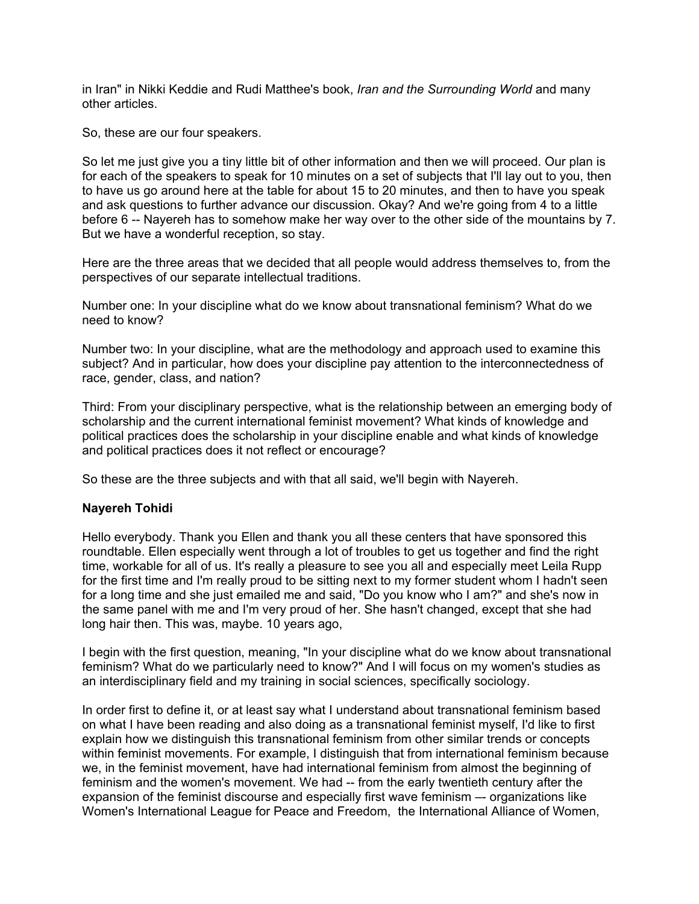in Iran" in Nikki Keddie and Rudi Matthee's book, *Iran and the Surrounding World* and many other articles.

So, these are our four speakers.

So let me just give you a tiny little bit of other information and then we will proceed. Our plan is for each of the speakers to speak for 10 minutes on a set of subjects that I'll lay out to you, then to have us go around here at the table for about 15 to 20 minutes, and then to have you speak and ask questions to further advance our discussion. Okay? And we're going from 4 to a little before 6 -- Nayereh has to somehow make her way over to the other side of the mountains by 7. But we have a wonderful reception, so stay.

Here are the three areas that we decided that all people would address themselves to, from the perspectives of our separate intellectual traditions.

Number one: In your discipline what do we know about transnational feminism? What do we need to know?

Number two: In your discipline, what are the methodology and approach used to examine this subject? And in particular, how does your discipline pay attention to the interconnectedness of race, gender, class, and nation?

Third: From your disciplinary perspective, what is the relationship between an emerging body of scholarship and the current international feminist movement? What kinds of knowledge and political practices does the scholarship in your discipline enable and what kinds of knowledge and political practices does it not reflect or encourage?

So these are the three subjects and with that all said, we'll begin with Nayereh.

#### **Nayereh Tohidi**

Hello everybody. Thank you Ellen and thank you all these centers that have sponsored this roundtable. Ellen especially went through a lot of troubles to get us together and find the right time, workable for all of us. It's really a pleasure to see you all and especially meet Leila Rupp for the first time and I'm really proud to be sitting next to my former student whom I hadn't seen for a long time and she just emailed me and said, "Do you know who I am?" and she's now in the same panel with me and I'm very proud of her. She hasn't changed, except that she had long hair then. This was, maybe. 10 years ago,

I begin with the first question, meaning, "In your discipline what do we know about transnational feminism? What do we particularly need to know?" And I will focus on my women's studies as an interdisciplinary field and my training in social sciences, specifically sociology.

In order first to define it, or at least say what I understand about transnational feminism based on what I have been reading and also doing as a transnational feminist myself, I'd like to first explain how we distinguish this transnational feminism from other similar trends or concepts within feminist movements. For example, I distinguish that from international feminism because we, in the feminist movement, have had international feminism from almost the beginning of feminism and the women's movement. We had -- from the early twentieth century after the expansion of the feminist discourse and especially first wave feminism –- organizations like Women's International League for Peace and Freedom, the International Alliance of Women,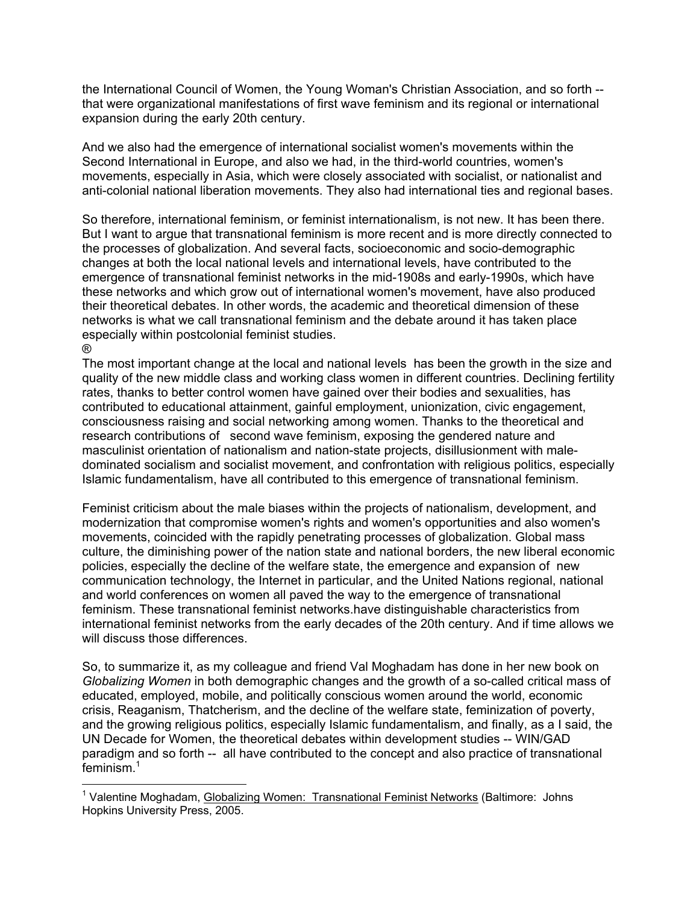the International Council of Women, the Young Woman's Christian Association, and so forth - that were organizational manifestations of first wave feminism and its regional or international expansion during the early 20th century.

And we also had the emergence of international socialist women's movements within the Second International in Europe, and also we had, in the third-world countries, women's movements, especially in Asia, which were closely associated with socialist, or nationalist and anti-colonial national liberation movements. They also had international ties and regional bases.

So therefore, international feminism, or feminist internationalism, is not new. It has been there. But I want to argue that transnational feminism is more recent and is more directly connected to the processes of globalization. And several facts, socioeconomic and socio-demographic changes at both the local national levels and international levels, have contributed to the emergence of transnational feminist networks in the mid-1908s and early-1990s, which have these networks and which grow out of international women's movement, have also produced their theoretical debates. In other words, the academic and theoretical dimension of these networks is what we call transnational feminism and the debate around it has taken place especially within postcolonial feminist studies. ®

The most important change at the local and national levels has been the growth in the size and quality of the new middle class and working class women in different countries. Declining fertility rates, thanks to better control women have gained over their bodies and sexualities, has contributed to educational attainment, gainful employment, unionization, civic engagement, consciousness raising and social networking among women. Thanks to the theoretical and research contributions of second wave feminism, exposing the gendered nature and masculinist orientation of nationalism and nation-state projects, disillusionment with maledominated socialism and socialist movement, and confrontation with religious politics, especially Islamic fundamentalism, have all contributed to this emergence of transnational feminism.

Feminist criticism about the male biases within the projects of nationalism, development, and modernization that compromise women's rights and women's opportunities and also women's movements, coincided with the rapidly penetrating processes of globalization. Global mass culture, the diminishing power of the nation state and national borders, the new liberal economic policies, especially the decline of the welfare state, the emergence and expansion of new communication technology, the Internet in particular, and the United Nations regional, national and world conferences on women all paved the way to the emergence of transnational feminism. These transnational feminist networks.have distinguishable characteristics from international feminist networks from the early decades of the 20th century. And if time allows we will discuss those differences.

So, to summarize it, as my colleague and friend Val Moghadam has done in her new book on *Globalizing Women* in both demographic changes and the growth of a so-called critical mass of educated, employed, mobile, and politically conscious women around the world, economic crisis, Reaganism, Thatcherism, and the decline of the welfare state, feminization of poverty, and the growing religious politics, especially Islamic fundamentalism, and finally, as a I said, the UN Decade for Women, the theoretical debates within development studies -- WIN/GAD paradigm and so forth -- all have contributed to the concept and also practice of transnational feminism.<sup>1</sup>

<sup>&</sup>lt;sup>1</sup> Valentine Moghadam, Globalizing Women: Transnational Feminist Networks (Baltimore: Johns Hopkins University Press, 2005.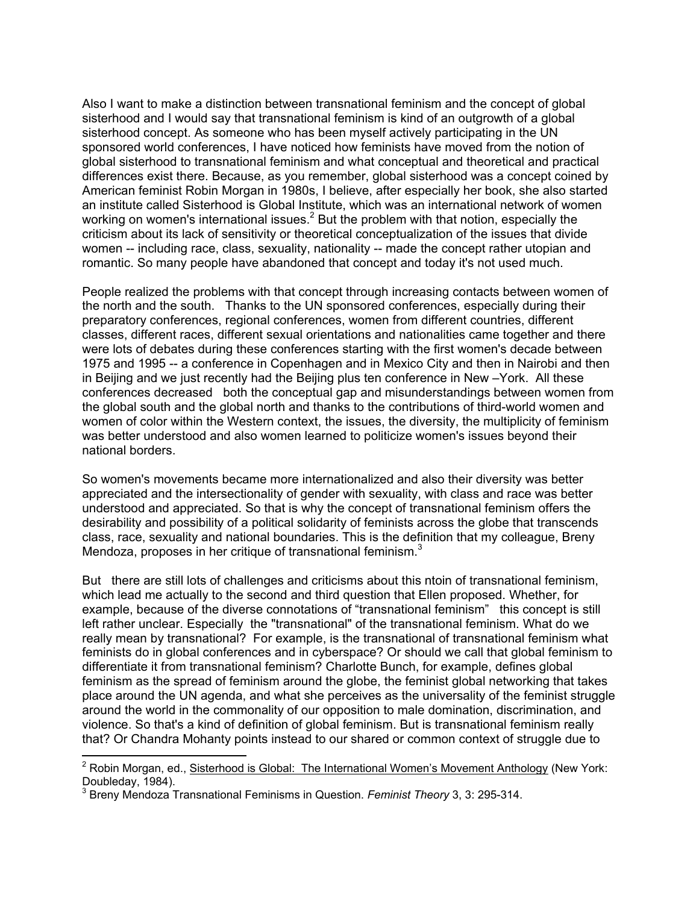Also I want to make a distinction between transnational feminism and the concept of global sisterhood and I would say that transnational feminism is kind of an outgrowth of a global sisterhood concept. As someone who has been myself actively participating in the UN sponsored world conferences, I have noticed how feminists have moved from the notion of global sisterhood to transnational feminism and what conceptual and theoretical and practical differences exist there. Because, as you remember, global sisterhood was a concept coined by American feminist Robin Morgan in 1980s, I believe, after especially her book, she also started an institute called Sisterhood is Global Institute, which was an international network of women working on women's international issues.<sup>2</sup> But the problem with that notion, especially the criticism about its lack of sensitivity or theoretical conceptualization of the issues that divide women -- including race, class, sexuality, nationality -- made the concept rather utopian and romantic. So many people have abandoned that concept and today it's not used much.

People realized the problems with that concept through increasing contacts between women of the north and the south. Thanks to the UN sponsored conferences, especially during their preparatory conferences, regional conferences, women from different countries, different classes, different races, different sexual orientations and nationalities came together and there were lots of debates during these conferences starting with the first women's decade between 1975 and 1995 -- a conference in Copenhagen and in Mexico City and then in Nairobi and then in Beijing and we just recently had the Beijing plus ten conference in New –York. All these conferences decreased both the conceptual gap and misunderstandings between women from the global south and the global north and thanks to the contributions of third-world women and women of color within the Western context, the issues, the diversity, the multiplicity of feminism was better understood and also women learned to politicize women's issues beyond their national borders.

So women's movements became more internationalized and also their diversity was better appreciated and the intersectionality of gender with sexuality, with class and race was better understood and appreciated. So that is why the concept of transnational feminism offers the desirability and possibility of a political solidarity of feminists across the globe that transcends class, race, sexuality and national boundaries. This is the definition that my colleague, Breny Mendoza, proposes in her critique of transnational feminism. $3<sup>3</sup>$ 

But there are still lots of challenges and criticisms about this ntoin of transnational feminism, which lead me actually to the second and third question that Ellen proposed. Whether, for example, because of the diverse connotations of "transnational feminism" this concept is still left rather unclear. Especially the "transnational" of the transnational feminism. What do we really mean by transnational? For example, is the transnational of transnational feminism what feminists do in global conferences and in cyberspace? Or should we call that global feminism to differentiate it from transnational feminism? Charlotte Bunch, for example, defines global feminism as the spread of feminism around the globe, the feminist global networking that takes place around the UN agenda, and what she perceives as the universality of the feminist struggle around the world in the commonality of our opposition to male domination, discrimination, and violence. So that's a kind of definition of global feminism. But is transnational feminism really that? Or Chandra Mohanty points instead to our shared or common context of struggle due to

<sup>&</sup>lt;sup>2</sup> Robin Morgan, ed., <u>Sisterhood is Global: The International Women's Movement Anthology</u> (New York: Doubleday, 1984).

<sup>3</sup> Breny Mendoza Transnational Feminisms in Question. *Feminist Theory* 3, 3: 295-314.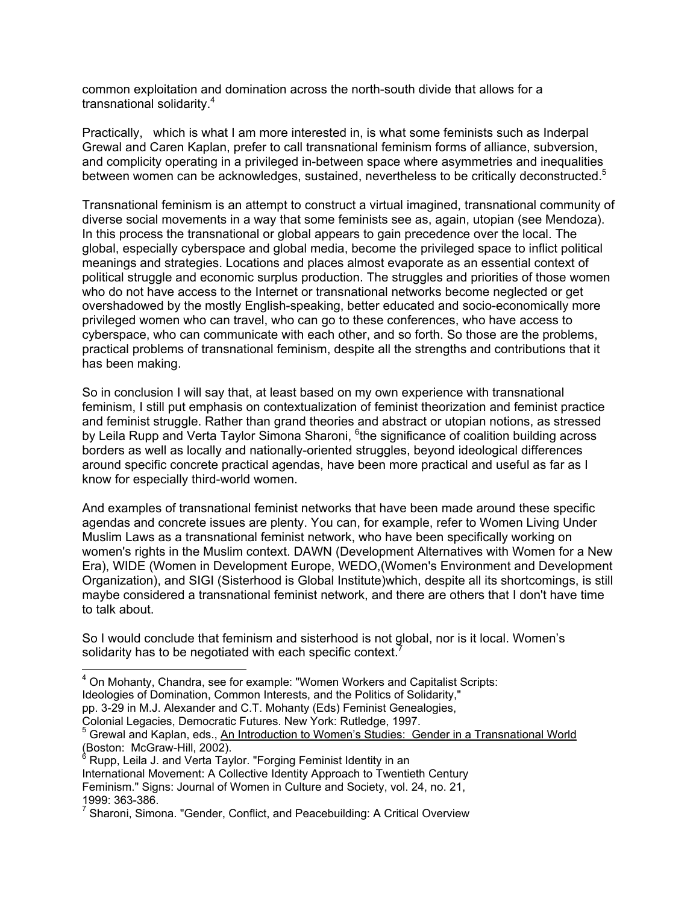common exploitation and domination across the north-south divide that allows for a transnational solidarity.<sup>4</sup>

Practically, which is what I am more interested in, is what some feminists such as Inderpal Grewal and Caren Kaplan, prefer to call transnational feminism forms of alliance, subversion, and complicity operating in a privileged in-between space where asymmetries and inequalities between women can be acknowledges, sustained, nevertheless to be critically deconstructed.<sup>5</sup>

Transnational feminism is an attempt to construct a virtual imagined, transnational community of diverse social movements in a way that some feminists see as, again, utopian (see Mendoza). In this process the transnational or global appears to gain precedence over the local. The global, especially cyberspace and global media, become the privileged space to inflict political meanings and strategies. Locations and places almost evaporate as an essential context of political struggle and economic surplus production. The struggles and priorities of those women who do not have access to the Internet or transnational networks become neglected or get overshadowed by the mostly English-speaking, better educated and socio-economically more privileged women who can travel, who can go to these conferences, who have access to cyberspace, who can communicate with each other, and so forth. So those are the problems, practical problems of transnational feminism, despite all the strengths and contributions that it has been making.

So in conclusion I will say that, at least based on my own experience with transnational feminism, I still put emphasis on contextualization of feminist theorization and feminist practice and feminist struggle. Rather than grand theories and abstract or utopian notions, as stressed by Leila Rupp and Verta Taylor Simona Sharoni, <sup>6</sup>the significance of coalition building across borders as well as locally and nationally-oriented struggles, beyond ideological differences around specific concrete practical agendas, have been more practical and useful as far as I know for especially third-world women.

And examples of transnational feminist networks that have been made around these specific agendas and concrete issues are plenty. You can, for example, refer to Women Living Under Muslim Laws as a transnational feminist network, who have been specifically working on women's rights in the Muslim context. DAWN (Development Alternatives with Women for a New Era), WIDE (Women in Development Europe, WEDO,(Women's Environment and Development Organization), and SIGI (Sisterhood is Global Institute)which, despite all its shortcomings, is still maybe considered a transnational feminist network, and there are others that I don't have time to talk about.

So I would conclude that feminism and sisterhood is not global, nor is it local. Women's solidarity has to be negotiated with each specific context.<sup>7</sup>

- $\overline{a}$  $4$  On Mohanty, Chandra, see for example: "Women Workers and Capitalist Scripts:
- Ideologies of Domination, Common Interests, and the Politics of Solidarity,"

Colonial Legacies, Democratic Futures. New York: Rutledge, 1997.

<sup>5</sup> Grewal and Kaplan, eds., An Introduction to Women's Studies: Gender in a Transnational World

(Boston: McGraw-Hill, 2002).<br><sup>6</sup> Rupp, Leila J. and Verta Taylor. "Forging Feminist Identity in an

International Movement: A Collective Identity Approach to Twentieth Century Feminism." Signs: Journal of Women in Culture and Society, vol. 24, no. 21,

1999: 363-386.

pp. 3-29 in M.J. Alexander and C.T. Mohanty (Eds) Feminist Genealogies,

<sup>&</sup>lt;sup>7</sup> Sharoni, Simona. "Gender, Conflict, and Peacebuilding: A Critical Overview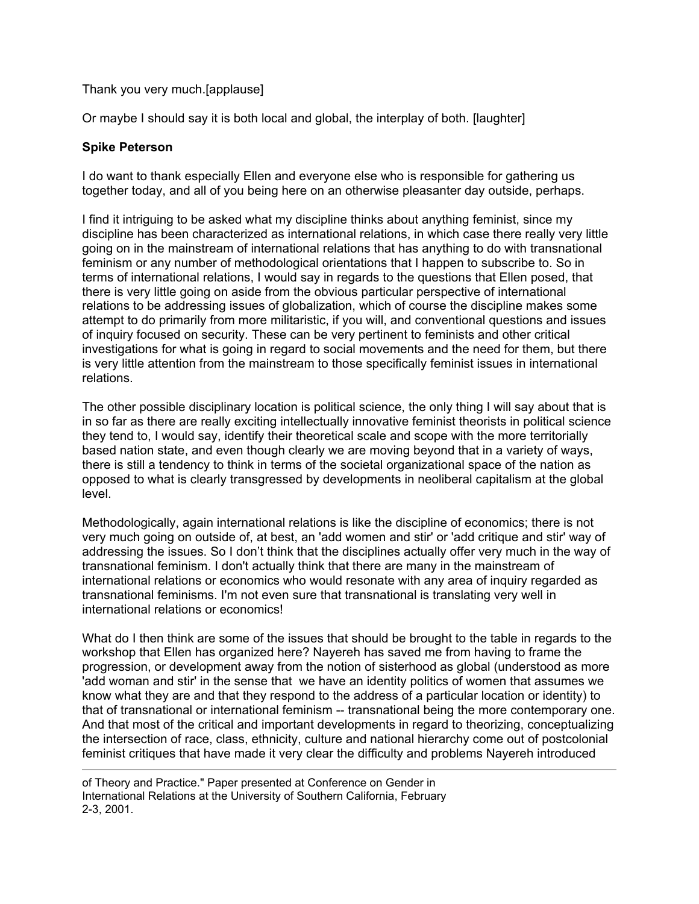# Thank you very much.[applause]

Or maybe I should say it is both local and global, the interplay of both. [laughter]

#### **Spike Peterson**

 $\overline{a}$ 

I do want to thank especially Ellen and everyone else who is responsible for gathering us together today, and all of you being here on an otherwise pleasanter day outside, perhaps.

I find it intriguing to be asked what my discipline thinks about anything feminist, since my discipline has been characterized as international relations, in which case there really very little going on in the mainstream of international relations that has anything to do with transnational feminism or any number of methodological orientations that I happen to subscribe to. So in terms of international relations, I would say in regards to the questions that Ellen posed, that there is very little going on aside from the obvious particular perspective of international relations to be addressing issues of globalization, which of course the discipline makes some attempt to do primarily from more militaristic, if you will, and conventional questions and issues of inquiry focused on security. These can be very pertinent to feminists and other critical investigations for what is going in regard to social movements and the need for them, but there is very little attention from the mainstream to those specifically feminist issues in international relations.

The other possible disciplinary location is political science, the only thing I will say about that is in so far as there are really exciting intellectually innovative feminist theorists in political science they tend to, I would say, identify their theoretical scale and scope with the more territorially based nation state, and even though clearly we are moving beyond that in a variety of ways, there is still a tendency to think in terms of the societal organizational space of the nation as opposed to what is clearly transgressed by developments in neoliberal capitalism at the global level.

Methodologically, again international relations is like the discipline of economics; there is not very much going on outside of, at best, an 'add women and stir' or 'add critique and stir' way of addressing the issues. So I don't think that the disciplines actually offer very much in the way of transnational feminism. I don't actually think that there are many in the mainstream of international relations or economics who would resonate with any area of inquiry regarded as transnational feminisms. I'm not even sure that transnational is translating very well in international relations or economics!

What do I then think are some of the issues that should be brought to the table in regards to the workshop that Ellen has organized here? Nayereh has saved me from having to frame the progression, or development away from the notion of sisterhood as global (understood as more 'add woman and stir' in the sense that we have an identity politics of women that assumes we know what they are and that they respond to the address of a particular location or identity) to that of transnational or international feminism -- transnational being the more contemporary one. And that most of the critical and important developments in regard to theorizing, conceptualizing the intersection of race, class, ethnicity, culture and national hierarchy come out of postcolonial feminist critiques that have made it very clear the difficulty and problems Nayereh introduced

of Theory and Practice." Paper presented at Conference on Gender in International Relations at the University of Southern California, February 2-3, 2001.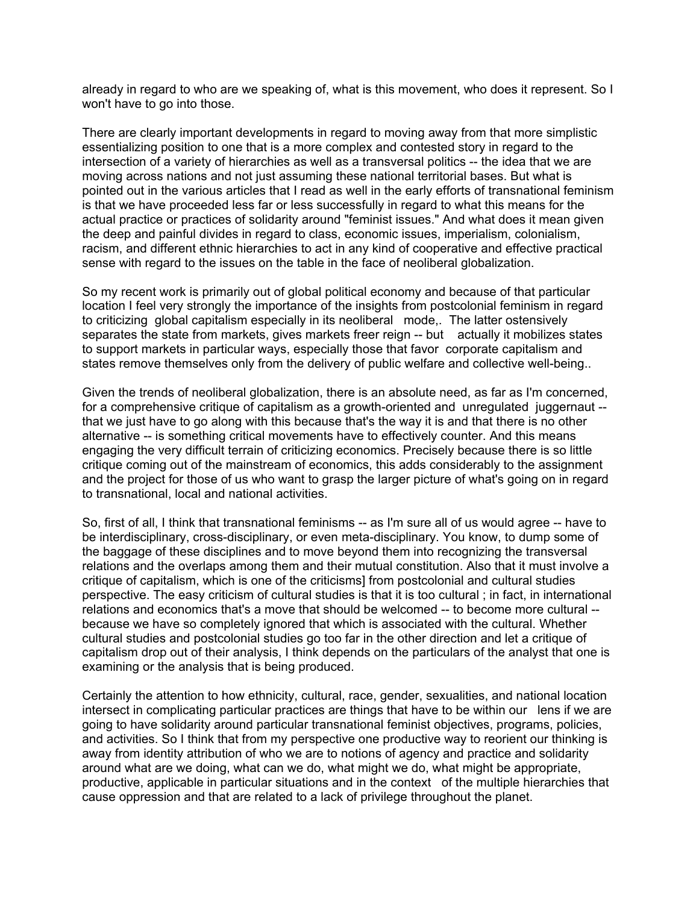already in regard to who are we speaking of, what is this movement, who does it represent. So I won't have to go into those.

There are clearly important developments in regard to moving away from that more simplistic essentializing position to one that is a more complex and contested story in regard to the intersection of a variety of hierarchies as well as a transversal politics -- the idea that we are moving across nations and not just assuming these national territorial bases. But what is pointed out in the various articles that I read as well in the early efforts of transnational feminism is that we have proceeded less far or less successfully in regard to what this means for the actual practice or practices of solidarity around "feminist issues." And what does it mean given the deep and painful divides in regard to class, economic issues, imperialism, colonialism, racism, and different ethnic hierarchies to act in any kind of cooperative and effective practical sense with regard to the issues on the table in the face of neoliberal globalization.

So my recent work is primarily out of global political economy and because of that particular location I feel very strongly the importance of the insights from postcolonial feminism in regard to criticizing global capitalism especially in its neoliberal mode,. The latter ostensively separates the state from markets, gives markets freer reign -- but actually it mobilizes states to support markets in particular ways, especially those that favor corporate capitalism and states remove themselves only from the delivery of public welfare and collective well-being..

Given the trends of neoliberal globalization, there is an absolute need, as far as I'm concerned, for a comprehensive critique of capitalism as a growth-oriented and unregulated juggernaut - that we just have to go along with this because that's the way it is and that there is no other alternative -- is something critical movements have to effectively counter. And this means engaging the very difficult terrain of criticizing economics. Precisely because there is so little critique coming out of the mainstream of economics, this adds considerably to the assignment and the project for those of us who want to grasp the larger picture of what's going on in regard to transnational, local and national activities.

So, first of all, I think that transnational feminisms -- as I'm sure all of us would agree -- have to be interdisciplinary, cross-disciplinary, or even meta-disciplinary. You know, to dump some of the baggage of these disciplines and to move beyond them into recognizing the transversal relations and the overlaps among them and their mutual constitution. Also that it must involve a critique of capitalism, which is one of the criticisms] from postcolonial and cultural studies perspective. The easy criticism of cultural studies is that it is too cultural ; in fact, in international relations and economics that's a move that should be welcomed -- to become more cultural - because we have so completely ignored that which is associated with the cultural. Whether cultural studies and postcolonial studies go too far in the other direction and let a critique of capitalism drop out of their analysis, I think depends on the particulars of the analyst that one is examining or the analysis that is being produced.

Certainly the attention to how ethnicity, cultural, race, gender, sexualities, and national location intersect in complicating particular practices are things that have to be within our lens if we are going to have solidarity around particular transnational feminist objectives, programs, policies, and activities. So I think that from my perspective one productive way to reorient our thinking is away from identity attribution of who we are to notions of agency and practice and solidarity around what are we doing, what can we do, what might we do, what might be appropriate, productive, applicable in particular situations and in the context of the multiple hierarchies that cause oppression and that are related to a lack of privilege throughout the planet.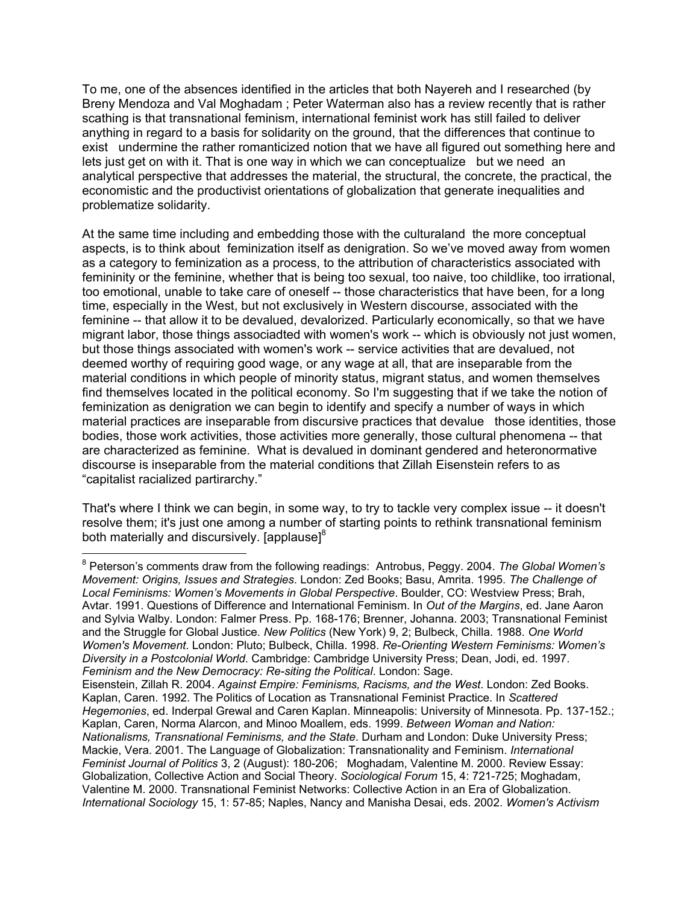To me, one of the absences identified in the articles that both Nayereh and I researched (by Breny Mendoza and Val Moghadam ; Peter Waterman also has a review recently that is rather scathing is that transnational feminism, international feminist work has still failed to deliver anything in regard to a basis for solidarity on the ground, that the differences that continue to exist undermine the rather romanticized notion that we have all figured out something here and lets just get on with it. That is one way in which we can conceptualize but we need an analytical perspective that addresses the material, the structural, the concrete, the practical, the economistic and the productivist orientations of globalization that generate inequalities and problematize solidarity.

At the same time including and embedding those with the culturaland the more conceptual aspects, is to think about feminization itself as denigration. So we've moved away from women as a category to feminization as a process, to the attribution of characteristics associated with femininity or the feminine, whether that is being too sexual, too naive, too childlike, too irrational, too emotional, unable to take care of oneself -- those characteristics that have been, for a long time, especially in the West, but not exclusively in Western discourse, associated with the feminine -- that allow it to be devalued, devalorized. Particularly economically, so that we have migrant labor, those things associadted with women's work -- which is obviously not just women, but those things associated with women's work -- service activities that are devalued, not deemed worthy of requiring good wage, or any wage at all, that are inseparable from the material conditions in which people of minority status, migrant status, and women themselves find themselves located in the political economy. So I'm suggesting that if we take the notion of feminization as denigration we can begin to identify and specify a number of ways in which material practices are inseparable from discursive practices that devalue those identities, those bodies, those work activities, those activities more generally, those cultural phenomena -- that are characterized as feminine. What is devalued in dominant gendered and heteronormative discourse is inseparable from the material conditions that Zillah Eisenstein refers to as "capitalist racialized partirarchy."

That's where I think we can begin, in some way, to try to tackle very complex issue -- it doesn't resolve them; it's just one among a number of starting points to rethink transnational feminism both materially and discursively. [applause] $8<sup>8</sup>$ 

 $\overline{a}$ 8 Peterson's comments draw from the following readings: Antrobus, Peggy. 2004. *The Global Women's Movement: Origins, Issues and Strategies*. London: Zed Books; Basu, Amrita. 1995. *The Challenge of Local Feminisms: Women's Movements in Global Perspective*. Boulder, CO: Westview Press; Brah, Avtar. 1991. Questions of Difference and International Feminism. In *Out of the Margins*, ed. Jane Aaron and Sylvia Walby. London: Falmer Press. Pp. 168-176; Brenner, Johanna. 2003; Transnational Feminist and the Struggle for Global Justice. *New Politics* (New York) 9, 2; Bulbeck, Chilla. 1988. *One World Women's Movement*. London: Pluto; Bulbeck, Chilla. 1998. *Re-Orienting Western Feminisms: Women's Diversity in a Postcolonial World*. Cambridge: Cambridge University Press; Dean, Jodi, ed. 1997. *Feminism and the New Democracy: Re-siting the Political*. London: Sage.

Eisenstein, Zillah R. 2004. *Against Empire: Feminisms, Racisms, and the West*. London: Zed Books. Kaplan, Caren. 1992. The Politics of Location as Transnational Feminist Practice. In *Scattered Hegemonies*, ed. Inderpal Grewal and Caren Kaplan. Minneapolis: University of Minnesota. Pp. 137-152.; Kaplan, Caren, Norma Alarcon, and Minoo Moallem, eds. 1999. *Between Woman and Nation: Nationalisms, Transnational Feminisms, and the State*. Durham and London: Duke University Press; Mackie, Vera. 2001. The Language of Globalization: Transnationality and Feminism. *International Feminist Journal of Politics* 3, 2 (August): 180-206; Moghadam, Valentine M. 2000. Review Essay: Globalization, Collective Action and Social Theory. *Sociological Forum* 15, 4: 721-725; Moghadam, Valentine M. 2000. Transnational Feminist Networks: Collective Action in an Era of Globalization. *International Sociology* 15, 1: 57-85; Naples, Nancy and Manisha Desai, eds. 2002. *Women's Activism*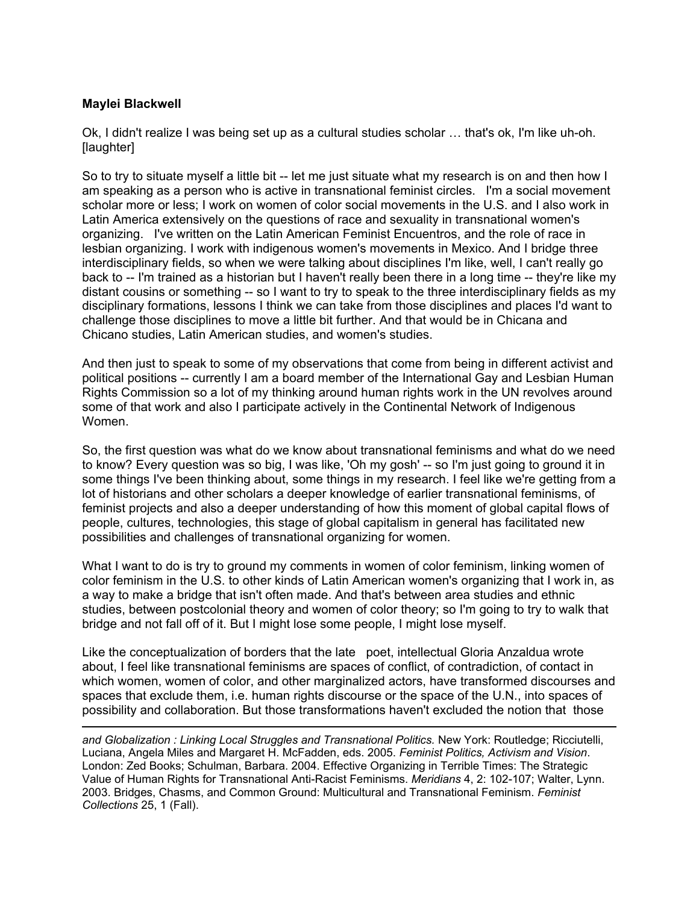#### **Maylei Blackwell**

 $\overline{a}$ 

Ok, I didn't realize I was being set up as a cultural studies scholar … that's ok, I'm like uh-oh. [laughter]

So to try to situate myself a little bit -- let me just situate what my research is on and then how I am speaking as a person who is active in transnational feminist circles. I'm a social movement scholar more or less; I work on women of color social movements in the U.S. and I also work in Latin America extensively on the questions of race and sexuality in transnational women's organizing. I've written on the Latin American Feminist Encuentros, and the role of race in lesbian organizing. I work with indigenous women's movements in Mexico. And I bridge three interdisciplinary fields, so when we were talking about disciplines I'm like, well, I can't really go back to -- I'm trained as a historian but I haven't really been there in a long time -- they're like my distant cousins or something -- so I want to try to speak to the three interdisciplinary fields as my disciplinary formations, lessons I think we can take from those disciplines and places I'd want to challenge those disciplines to move a little bit further. And that would be in Chicana and Chicano studies, Latin American studies, and women's studies.

And then just to speak to some of my observations that come from being in different activist and political positions -- currently I am a board member of the International Gay and Lesbian Human Rights Commission so a lot of my thinking around human rights work in the UN revolves around some of that work and also I participate actively in the Continental Network of Indigenous Women.

So, the first question was what do we know about transnational feminisms and what do we need to know? Every question was so big, I was like, 'Oh my gosh' -- so I'm just going to ground it in some things I've been thinking about, some things in my research. I feel like we're getting from a lot of historians and other scholars a deeper knowledge of earlier transnational feminisms, of feminist projects and also a deeper understanding of how this moment of global capital flows of people, cultures, technologies, this stage of global capitalism in general has facilitated new possibilities and challenges of transnational organizing for women.

What I want to do is try to ground my comments in women of color feminism, linking women of color feminism in the U.S. to other kinds of Latin American women's organizing that I work in, as a way to make a bridge that isn't often made. And that's between area studies and ethnic studies, between postcolonial theory and women of color theory; so I'm going to try to walk that bridge and not fall off of it. But I might lose some people, I might lose myself.

Like the conceptualization of borders that the late poet, intellectual Gloria Anzaldua wrote about, I feel like transnational feminisms are spaces of conflict, of contradiction, of contact in which women, women of color, and other marginalized actors, have transformed discourses and spaces that exclude them, i.e. human rights discourse or the space of the U.N., into spaces of possibility and collaboration. But those transformations haven't excluded the notion that those

*and Globalization : Linking Local Struggles and Transnational Politics.* New York: Routledge; Ricciutelli, Luciana, Angela Miles and Margaret H. McFadden, eds. 2005. *Feminist Politics, Activism and Vision*. London: Zed Books; Schulman, Barbara. 2004. Effective Organizing in Terrible Times: The Strategic Value of Human Rights for Transnational Anti-Racist Feminisms. *Meridians* 4, 2: 102-107; Walter, Lynn. 2003. Bridges, Chasms, and Common Ground: Multicultural and Transnational Feminism. *Feminist Collections* 25, 1 (Fall).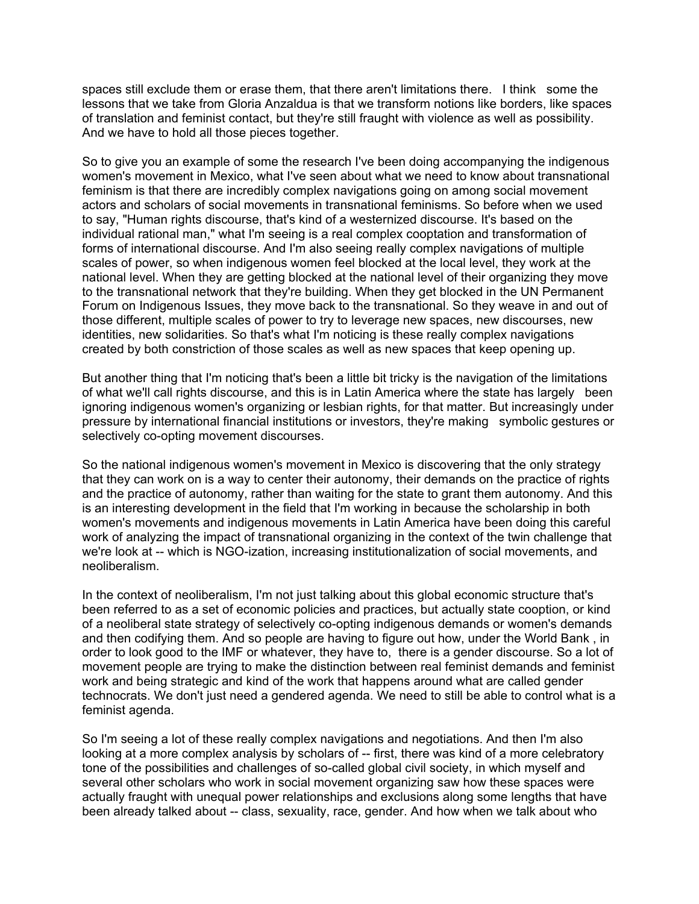spaces still exclude them or erase them, that there aren't limitations there. I think some the lessons that we take from Gloria Anzaldua is that we transform notions like borders, like spaces of translation and feminist contact, but they're still fraught with violence as well as possibility. And we have to hold all those pieces together.

So to give you an example of some the research I've been doing accompanying the indigenous women's movement in Mexico, what I've seen about what we need to know about transnational feminism is that there are incredibly complex navigations going on among social movement actors and scholars of social movements in transnational feminisms. So before when we used to say, "Human rights discourse, that's kind of a westernized discourse. It's based on the individual rational man," what I'm seeing is a real complex cooptation and transformation of forms of international discourse. And I'm also seeing really complex navigations of multiple scales of power, so when indigenous women feel blocked at the local level, they work at the national level. When they are getting blocked at the national level of their organizing they move to the transnational network that they're building. When they get blocked in the UN Permanent Forum on Indigenous Issues, they move back to the transnational. So they weave in and out of those different, multiple scales of power to try to leverage new spaces, new discourses, new identities, new solidarities. So that's what I'm noticing is these really complex navigations created by both constriction of those scales as well as new spaces that keep opening up.

But another thing that I'm noticing that's been a little bit tricky is the navigation of the limitations of what we'll call rights discourse, and this is in Latin America where the state has largely been ignoring indigenous women's organizing or lesbian rights, for that matter. But increasingly under pressure by international financial institutions or investors, they're making symbolic gestures or selectively co-opting movement discourses.

So the national indigenous women's movement in Mexico is discovering that the only strategy that they can work on is a way to center their autonomy, their demands on the practice of rights and the practice of autonomy, rather than waiting for the state to grant them autonomy. And this is an interesting development in the field that I'm working in because the scholarship in both women's movements and indigenous movements in Latin America have been doing this careful work of analyzing the impact of transnational organizing in the context of the twin challenge that we're look at -- which is NGO-ization, increasing institutionalization of social movements, and neoliberalism.

In the context of neoliberalism, I'm not just talking about this global economic structure that's been referred to as a set of economic policies and practices, but actually state cooption, or kind of a neoliberal state strategy of selectively co-opting indigenous demands or women's demands and then codifying them. And so people are having to figure out how, under the World Bank , in order to look good to the IMF or whatever, they have to, there is a gender discourse. So a lot of movement people are trying to make the distinction between real feminist demands and feminist work and being strategic and kind of the work that happens around what are called gender technocrats. We don't just need a gendered agenda. We need to still be able to control what is a feminist agenda.

So I'm seeing a lot of these really complex navigations and negotiations. And then I'm also looking at a more complex analysis by scholars of -- first, there was kind of a more celebratory tone of the possibilities and challenges of so-called global civil society, in which myself and several other scholars who work in social movement organizing saw how these spaces were actually fraught with unequal power relationships and exclusions along some lengths that have been already talked about -- class, sexuality, race, gender. And how when we talk about who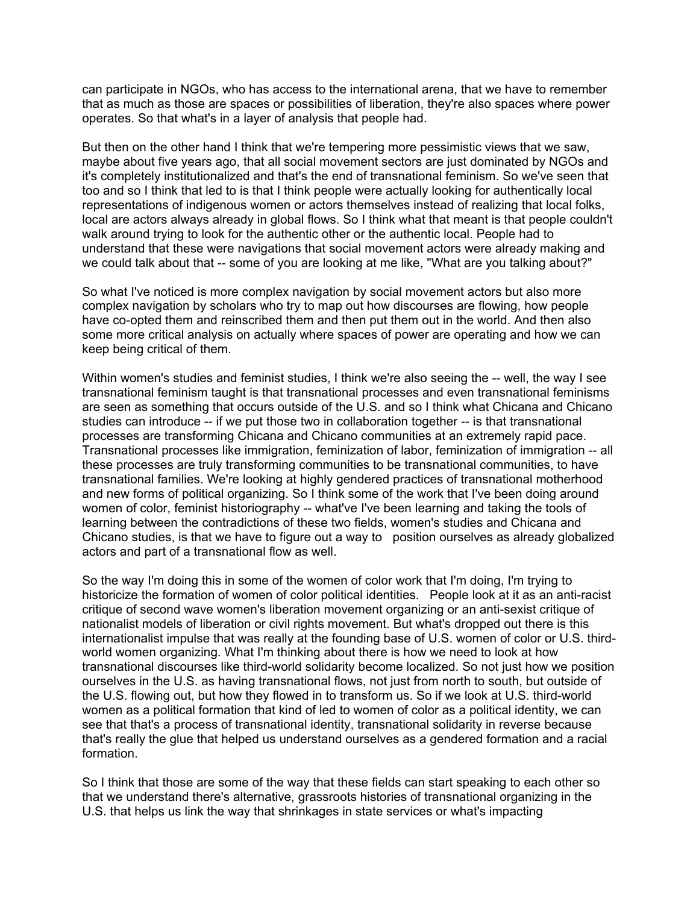can participate in NGOs, who has access to the international arena, that we have to remember that as much as those are spaces or possibilities of liberation, they're also spaces where power operates. So that what's in a layer of analysis that people had.

But then on the other hand I think that we're tempering more pessimistic views that we saw, maybe about five years ago, that all social movement sectors are just dominated by NGOs and it's completely institutionalized and that's the end of transnational feminism. So we've seen that too and so I think that led to is that I think people were actually looking for authentically local representations of indigenous women or actors themselves instead of realizing that local folks, local are actors always already in global flows. So I think what that meant is that people couldn't walk around trying to look for the authentic other or the authentic local. People had to understand that these were navigations that social movement actors were already making and we could talk about that -- some of you are looking at me like, "What are you talking about?"

So what I've noticed is more complex navigation by social movement actors but also more complex navigation by scholars who try to map out how discourses are flowing, how people have co-opted them and reinscribed them and then put them out in the world. And then also some more critical analysis on actually where spaces of power are operating and how we can keep being critical of them.

Within women's studies and feminist studies, I think we're also seeing the -- well, the way I see transnational feminism taught is that transnational processes and even transnational feminisms are seen as something that occurs outside of the U.S. and so I think what Chicana and Chicano studies can introduce -- if we put those two in collaboration together -- is that transnational processes are transforming Chicana and Chicano communities at an extremely rapid pace. Transnational processes like immigration, feminization of labor, feminization of immigration -- all these processes are truly transforming communities to be transnational communities, to have transnational families. We're looking at highly gendered practices of transnational motherhood and new forms of political organizing. So I think some of the work that I've been doing around women of color, feminist historiography -- what've I've been learning and taking the tools of learning between the contradictions of these two fields, women's studies and Chicana and Chicano studies, is that we have to figure out a way to position ourselves as already globalized actors and part of a transnational flow as well.

So the way I'm doing this in some of the women of color work that I'm doing, I'm trying to historicize the formation of women of color political identities. People look at it as an anti-racist critique of second wave women's liberation movement organizing or an anti-sexist critique of nationalist models of liberation or civil rights movement. But what's dropped out there is this internationalist impulse that was really at the founding base of U.S. women of color or U.S. thirdworld women organizing. What I'm thinking about there is how we need to look at how transnational discourses like third-world solidarity become localized. So not just how we position ourselves in the U.S. as having transnational flows, not just from north to south, but outside of the U.S. flowing out, but how they flowed in to transform us. So if we look at U.S. third-world women as a political formation that kind of led to women of color as a political identity, we can see that that's a process of transnational identity, transnational solidarity in reverse because that's really the glue that helped us understand ourselves as a gendered formation and a racial formation.

So I think that those are some of the way that these fields can start speaking to each other so that we understand there's alternative, grassroots histories of transnational organizing in the U.S. that helps us link the way that shrinkages in state services or what's impacting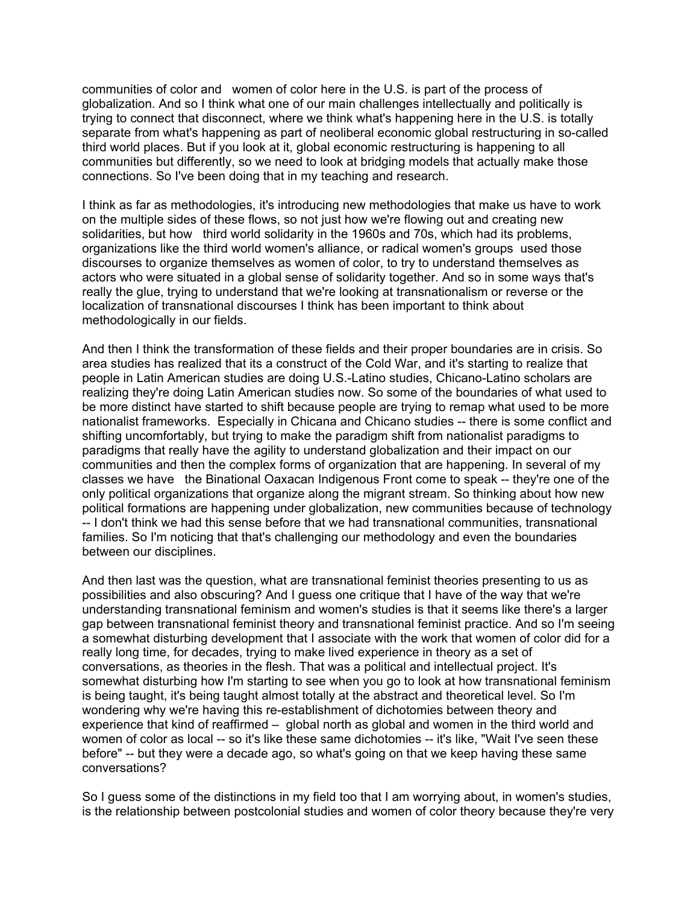communities of color and women of color here in the U.S. is part of the process of globalization. And so I think what one of our main challenges intellectually and politically is trying to connect that disconnect, where we think what's happening here in the U.S. is totally separate from what's happening as part of neoliberal economic global restructuring in so-called third world places. But if you look at it, global economic restructuring is happening to all communities but differently, so we need to look at bridging models that actually make those connections. So I've been doing that in my teaching and research.

I think as far as methodologies, it's introducing new methodologies that make us have to work on the multiple sides of these flows, so not just how we're flowing out and creating new solidarities, but how third world solidarity in the 1960s and 70s, which had its problems, organizations like the third world women's alliance, or radical women's groups used those discourses to organize themselves as women of color, to try to understand themselves as actors who were situated in a global sense of solidarity together. And so in some ways that's really the glue, trying to understand that we're looking at transnationalism or reverse or the localization of transnational discourses I think has been important to think about methodologically in our fields.

And then I think the transformation of these fields and their proper boundaries are in crisis. So area studies has realized that its a construct of the Cold War, and it's starting to realize that people in Latin American studies are doing U.S.-Latino studies, Chicano-Latino scholars are realizing they're doing Latin American studies now. So some of the boundaries of what used to be more distinct have started to shift because people are trying to remap what used to be more nationalist frameworks. Especially in Chicana and Chicano studies -- there is some conflict and shifting uncomfortably, but trying to make the paradigm shift from nationalist paradigms to paradigms that really have the agility to understand globalization and their impact on our communities and then the complex forms of organization that are happening. In several of my classes we have the Binational Oaxacan Indigenous Front come to speak -- they're one of the only political organizations that organize along the migrant stream. So thinking about how new political formations are happening under globalization, new communities because of technology -- I don't think we had this sense before that we had transnational communities, transnational families. So I'm noticing that that's challenging our methodology and even the boundaries between our disciplines.

And then last was the question, what are transnational feminist theories presenting to us as possibilities and also obscuring? And I guess one critique that I have of the way that we're understanding transnational feminism and women's studies is that it seems like there's a larger gap between transnational feminist theory and transnational feminist practice. And so I'm seeing a somewhat disturbing development that I associate with the work that women of color did for a really long time, for decades, trying to make lived experience in theory as a set of conversations, as theories in the flesh. That was a political and intellectual project. It's somewhat disturbing how I'm starting to see when you go to look at how transnational feminism is being taught, it's being taught almost totally at the abstract and theoretical level. So I'm wondering why we're having this re-establishment of dichotomies between theory and experience that kind of reaffirmed – global north as global and women in the third world and women of color as local -- so it's like these same dichotomies -- it's like, "Wait I've seen these before" -- but they were a decade ago, so what's going on that we keep having these same conversations?

So I guess some of the distinctions in my field too that I am worrying about, in women's studies, is the relationship between postcolonial studies and women of color theory because they're very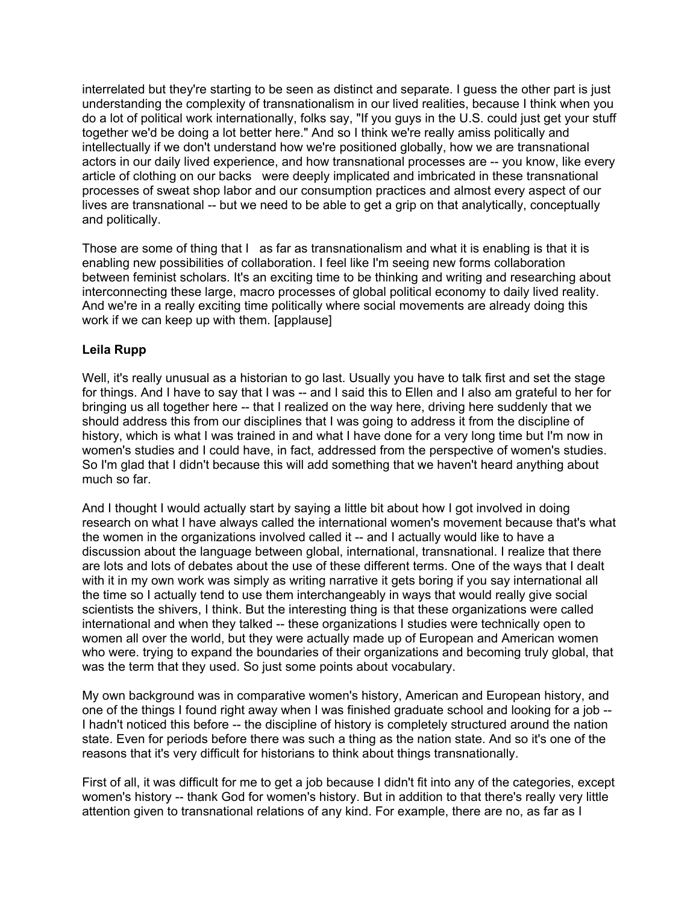interrelated but they're starting to be seen as distinct and separate. I guess the other part is just understanding the complexity of transnationalism in our lived realities, because I think when you do a lot of political work internationally, folks say, "If you guys in the U.S. could just get your stuff together we'd be doing a lot better here." And so I think we're really amiss politically and intellectually if we don't understand how we're positioned globally, how we are transnational actors in our daily lived experience, and how transnational processes are -- you know, like every article of clothing on our backs were deeply implicated and imbricated in these transnational processes of sweat shop labor and our consumption practices and almost every aspect of our lives are transnational -- but we need to be able to get a grip on that analytically, conceptually and politically.

Those are some of thing that I as far as transnationalism and what it is enabling is that it is enabling new possibilities of collaboration. I feel like I'm seeing new forms collaboration between feminist scholars. It's an exciting time to be thinking and writing and researching about interconnecting these large, macro processes of global political economy to daily lived reality. And we're in a really exciting time politically where social movements are already doing this work if we can keep up with them. [applause]

# **Leila Rupp**

Well, it's really unusual as a historian to go last. Usually you have to talk first and set the stage for things. And I have to say that I was -- and I said this to Ellen and I also am grateful to her for bringing us all together here -- that I realized on the way here, driving here suddenly that we should address this from our disciplines that I was going to address it from the discipline of history, which is what I was trained in and what I have done for a very long time but I'm now in women's studies and I could have, in fact, addressed from the perspective of women's studies. So I'm glad that I didn't because this will add something that we haven't heard anything about much so far.

And I thought I would actually start by saying a little bit about how I got involved in doing research on what I have always called the international women's movement because that's what the women in the organizations involved called it -- and I actually would like to have a discussion about the language between global, international, transnational. I realize that there are lots and lots of debates about the use of these different terms. One of the ways that I dealt with it in my own work was simply as writing narrative it gets boring if you say international all the time so I actually tend to use them interchangeably in ways that would really give social scientists the shivers, I think. But the interesting thing is that these organizations were called international and when they talked -- these organizations I studies were technically open to women all over the world, but they were actually made up of European and American women who were. trying to expand the boundaries of their organizations and becoming truly global, that was the term that they used. So just some points about vocabulary.

My own background was in comparative women's history, American and European history, and one of the things I found right away when I was finished graduate school and looking for a job -- I hadn't noticed this before -- the discipline of history is completely structured around the nation state. Even for periods before there was such a thing as the nation state. And so it's one of the reasons that it's very difficult for historians to think about things transnationally.

First of all, it was difficult for me to get a job because I didn't fit into any of the categories, except women's history -- thank God for women's history. But in addition to that there's really very little attention given to transnational relations of any kind. For example, there are no, as far as I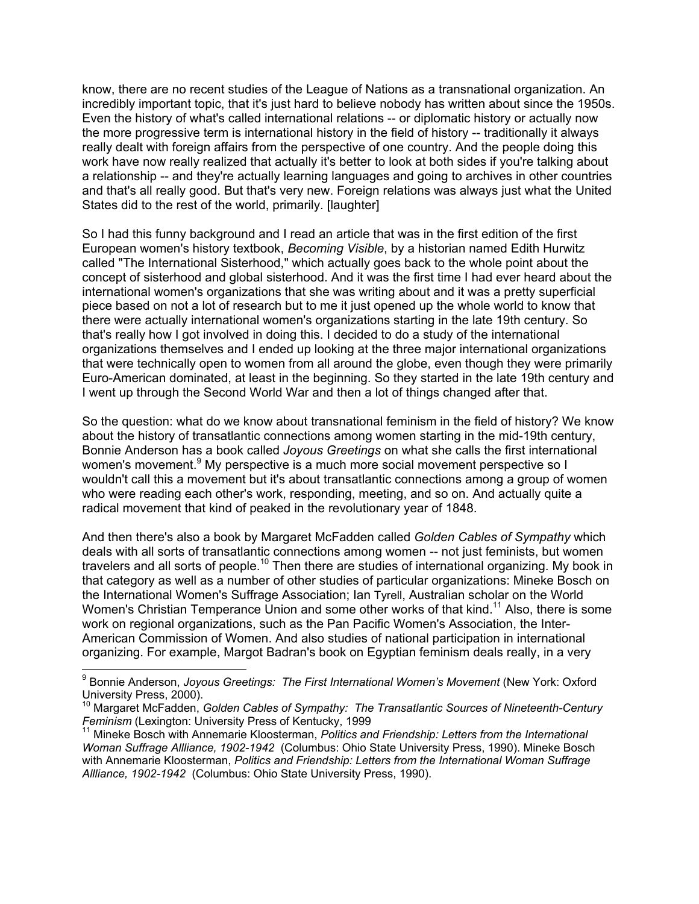know, there are no recent studies of the League of Nations as a transnational organization. An incredibly important topic, that it's just hard to believe nobody has written about since the 1950s. Even the history of what's called international relations -- or diplomatic history or actually now the more progressive term is international history in the field of history -- traditionally it always really dealt with foreign affairs from the perspective of one country. And the people doing this work have now really realized that actually it's better to look at both sides if you're talking about a relationship -- and they're actually learning languages and going to archives in other countries and that's all really good. But that's very new. Foreign relations was always just what the United States did to the rest of the world, primarily. [laughter]

So I had this funny background and I read an article that was in the first edition of the first European women's history textbook, *Becoming Visible*, by a historian named Edith Hurwitz called "The International Sisterhood," which actually goes back to the whole point about the concept of sisterhood and global sisterhood. And it was the first time I had ever heard about the international women's organizations that she was writing about and it was a pretty superficial piece based on not a lot of research but to me it just opened up the whole world to know that there were actually international women's organizations starting in the late 19th century. So that's really how I got involved in doing this. I decided to do a study of the international organizations themselves and I ended up looking at the three major international organizations that were technically open to women from all around the globe, even though they were primarily Euro-American dominated, at least in the beginning. So they started in the late 19th century and I went up through the Second World War and then a lot of things changed after that.

So the question: what do we know about transnational feminism in the field of history? We know about the history of transatlantic connections among women starting in the mid-19th century, Bonnie Anderson has a book called *Joyous Greetings* on what she calls the first international women's movement.<sup>9</sup> My perspective is a much more social movement perspective so I wouldn't call this a movement but it's about transatlantic connections among a group of women who were reading each other's work, responding, meeting, and so on. And actually quite a radical movement that kind of peaked in the revolutionary year of 1848.

And then there's also a book by Margaret McFadden called *Golden Cables of Sympathy* which deals with all sorts of transatlantic connections among women -- not just feminists, but women travelers and all sorts of people.<sup>10</sup> Then there are studies of international organizing. My book in that category as well as a number of other studies of particular organizations: Mineke Bosch on the International Women's Suffrage Association; Ian Tyrell, Australian scholar on the World Women's Christian Temperance Union and some other works of that kind.<sup>11</sup> Also, there is some work on regional organizations, such as the Pan Pacific Women's Association, the Inter-American Commission of Women. And also studies of national participation in international organizing. For example, Margot Badran's book on Egyptian feminism deals really, in a very

<sup>&</sup>lt;sup>9</sup> Bonnie Anderson, *Joyous Greetings: The First International Women's Movement* (New York: Oxford University Press, 2000).

<sup>&</sup>lt;sup>10</sup> Margaret McFadden, *Golden Cables of Sympathy: The Transatlantic Sources of Nineteenth-Century Feminism* (Lexington: University Press of Kentucky, 1999<br><sup>11</sup> Mineke Bosch with Annemarie Kloosterman, *Politics and Friendship: Letters from the International* 

*Woman Suffrage Allliance, 1902-1942* (Columbus: Ohio State University Press, 1990). Mineke Bosch with Annemarie Kloosterman, *Politics and Friendship: Letters from the International Woman Suffrage Allliance, 1902-1942* (Columbus: Ohio State University Press, 1990).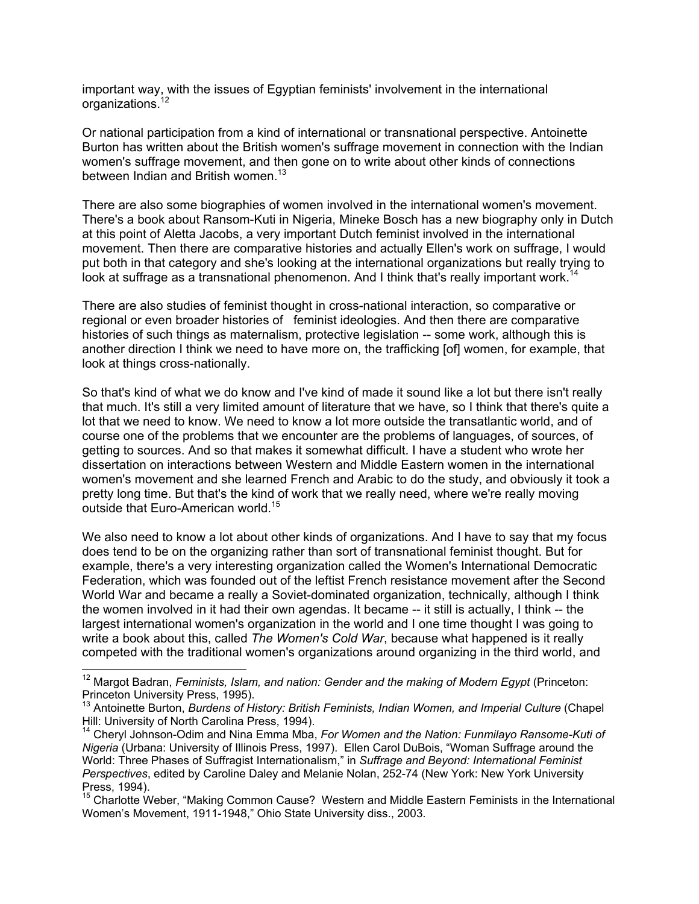important way, with the issues of Egyptian feminists' involvement in the international organizations.<sup>12</sup>

Or national participation from a kind of international or transnational perspective. Antoinette Burton has written about the British women's suffrage movement in connection with the Indian women's suffrage movement, and then gone on to write about other kinds of connections between Indian and British women.<sup>13</sup>

There are also some biographies of women involved in the international women's movement. There's a book about Ransom-Kuti in Nigeria, Mineke Bosch has a new biography only in Dutch at this point of Aletta Jacobs, a very important Dutch feminist involved in the international movement. Then there are comparative histories and actually Ellen's work on suffrage, I would put both in that category and she's looking at the international organizations but really trying to look at suffrage as a transnational phenomenon. And I think that's really important work.<sup>14</sup>

There are also studies of feminist thought in cross-national interaction, so comparative or regional or even broader histories of feminist ideologies. And then there are comparative histories of such things as maternalism, protective legislation -- some work, although this is another direction I think we need to have more on, the trafficking [of] women, for example, that look at things cross-nationally.

So that's kind of what we do know and I've kind of made it sound like a lot but there isn't really that much. It's still a very limited amount of literature that we have, so I think that there's quite a lot that we need to know. We need to know a lot more outside the transatlantic world, and of course one of the problems that we encounter are the problems of languages, of sources, of getting to sources. And so that makes it somewhat difficult. I have a student who wrote her dissertation on interactions between Western and Middle Eastern women in the international women's movement and she learned French and Arabic to do the study, and obviously it took a pretty long time. But that's the kind of work that we really need, where we're really moving outside that Euro-American world.<sup>15</sup>

We also need to know a lot about other kinds of organizations. And I have to say that my focus does tend to be on the organizing rather than sort of transnational feminist thought. But for example, there's a very interesting organization called the Women's International Democratic Federation, which was founded out of the leftist French resistance movement after the Second World War and became a really a Soviet-dominated organization, technically, although I think the women involved in it had their own agendas. It became -- it still is actually, I think -- the largest international women's organization in the world and I one time thought I was going to write a book about this, called *The Women's Cold War*, because what happened is it really competed with the traditional women's organizations around organizing in the third world, and

<sup>&</sup>lt;sup>12</sup> Margot Badran, *Feminists, Islam, and nation: Gender and the making of Modern Egypt* (Princeton: Princeton University Press, 1995).

<sup>&</sup>lt;sup>13</sup> Antoinette Burton, *Burdens of History: British Feminists, Indian Women, and Imperial Culture* (Chapel Hill: University of North Carolina Press, 1994).

<sup>&</sup>lt;sup>14</sup> Cheryl Johnson-Odim and Nina Emma Mba, For Women and the Nation: Funmilayo Ransome-Kuti of *Nigeria* (Urbana: University of Illinois Press, 1997). Ellen Carol DuBois, "Woman Suffrage around the World: Three Phases of Suffragist Internationalism," in *Suffrage and Beyond: International Feminist Perspectives*, edited by Caroline Daley and Melanie Nolan, 252-74 (New York: New York University Press, 1994).

<sup>&</sup>lt;sup>15</sup> Charlotte Weber, "Making Common Cause? Western and Middle Eastern Feminists in the International Women's Movement, 1911-1948," Ohio State University diss., 2003.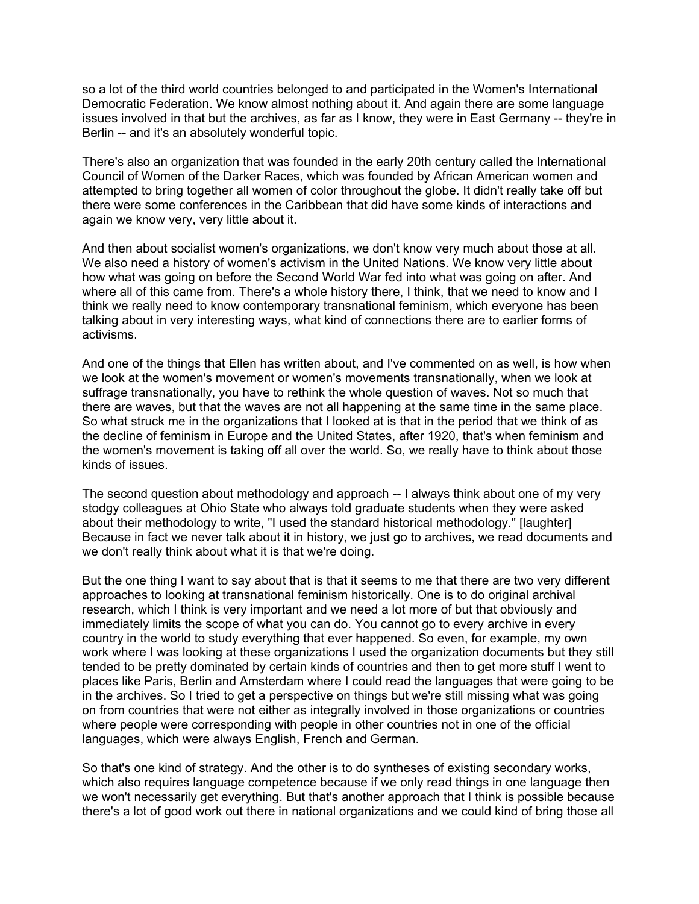so a lot of the third world countries belonged to and participated in the Women's International Democratic Federation. We know almost nothing about it. And again there are some language issues involved in that but the archives, as far as I know, they were in East Germany -- they're in Berlin -- and it's an absolutely wonderful topic.

There's also an organization that was founded in the early 20th century called the International Council of Women of the Darker Races, which was founded by African American women and attempted to bring together all women of color throughout the globe. It didn't really take off but there were some conferences in the Caribbean that did have some kinds of interactions and again we know very, very little about it.

And then about socialist women's organizations, we don't know very much about those at all. We also need a history of women's activism in the United Nations. We know very little about how what was going on before the Second World War fed into what was going on after. And where all of this came from. There's a whole history there, I think, that we need to know and I think we really need to know contemporary transnational feminism, which everyone has been talking about in very interesting ways, what kind of connections there are to earlier forms of activisms.

And one of the things that Ellen has written about, and I've commented on as well, is how when we look at the women's movement or women's movements transnationally, when we look at suffrage transnationally, you have to rethink the whole question of waves. Not so much that there are waves, but that the waves are not all happening at the same time in the same place. So what struck me in the organizations that I looked at is that in the period that we think of as the decline of feminism in Europe and the United States, after 1920, that's when feminism and the women's movement is taking off all over the world. So, we really have to think about those kinds of issues.

The second question about methodology and approach -- I always think about one of my very stodgy colleagues at Ohio State who always told graduate students when they were asked about their methodology to write, "I used the standard historical methodology." [laughter] Because in fact we never talk about it in history, we just go to archives, we read documents and we don't really think about what it is that we're doing.

But the one thing I want to say about that is that it seems to me that there are two very different approaches to looking at transnational feminism historically. One is to do original archival research, which I think is very important and we need a lot more of but that obviously and immediately limits the scope of what you can do. You cannot go to every archive in every country in the world to study everything that ever happened. So even, for example, my own work where I was looking at these organizations I used the organization documents but they still tended to be pretty dominated by certain kinds of countries and then to get more stuff I went to places like Paris, Berlin and Amsterdam where I could read the languages that were going to be in the archives. So I tried to get a perspective on things but we're still missing what was going on from countries that were not either as integrally involved in those organizations or countries where people were corresponding with people in other countries not in one of the official languages, which were always English, French and German.

So that's one kind of strategy. And the other is to do syntheses of existing secondary works, which also requires language competence because if we only read things in one language then we won't necessarily get everything. But that's another approach that I think is possible because there's a lot of good work out there in national organizations and we could kind of bring those all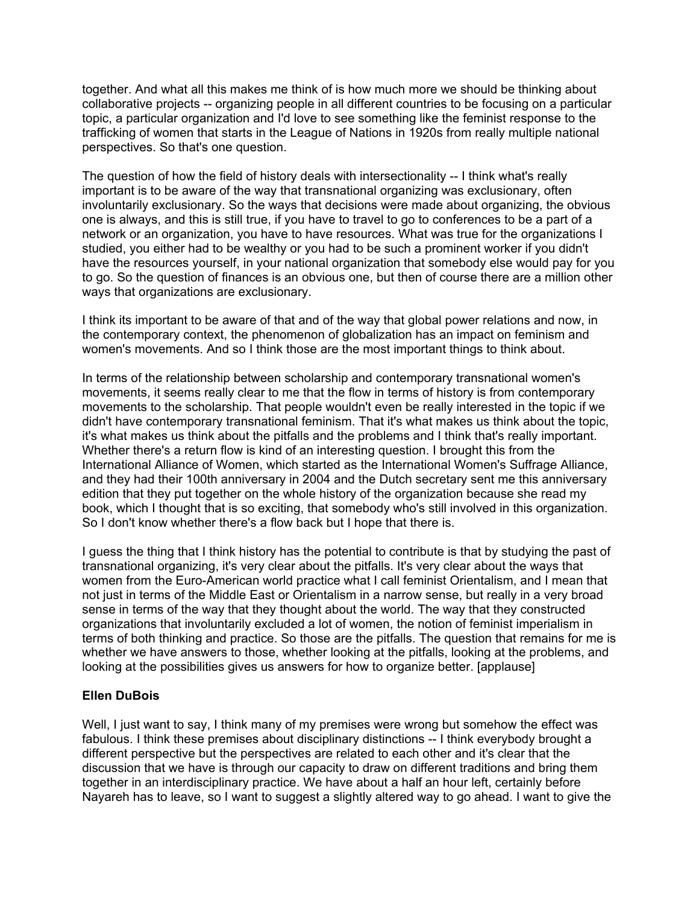together. And what all this makes me think of is how much more we should be thinking about collaborative projects -- organizing people in all different countries to be focusing on a particular topic, a particular organization and I'd love to see something like the feminist response to the trafficking of women that starts in the League of Nations in 1920s from really multiple national perspectives. So that's one question.

The question of how the field of history deals with intersectionality -- I think what's really important is to be aware of the way that transnational organizing was exclusionary, often involuntarily exclusionary. So the ways that decisions were made about organizing, the obvious one is always, and this is still true, if you have to travel to go to conferences to be a part of a network or an organization, you have to have resources. What was true for the organizations I studied, you either had to be wealthy or you had to be such a prominent worker if you didn't have the resources yourself, in your national organization that somebody else would pay for you to go. So the question of finances is an obvious one, but then of course there are a million other ways that organizations are exclusionary.

I think its important to be aware of that and of the way that global power relations and now, in the contemporary context, the phenomenon of globalization has an impact on feminism and women's movements. And so I think those are the most important things to think about.

In terms of the relationship between scholarship and contemporary transnational women's movements, it seems really clear to me that the flow in terms of history is from contemporary movements to the scholarship. That people wouldn't even be really interested in the topic if we didn't have contemporary transnational feminism. That it's what makes us think about the topic, it's what makes us think about the pitfalls and the problems and I think that's really important. Whether there's a return flow is kind of an interesting question. I brought this from the International Alliance of Women, which started as the International Women's Suffrage Alliance, and they had their 100th anniversary in 2004 and the Dutch secretary sent me this anniversary edition that they put together on the whole history of the organization because she read my book, which I thought that is so exciting, that somebody who's still involved in this organization. So I don't know whether there's a flow back but I hope that there is.

I guess the thing that I think history has the potential to contribute is that by studying the past of transnational organizing, it's very clear about the pitfalls. It's very clear about the ways that women from the Euro-American world practice what I call feminist Orientalism, and I mean that not just in terms of the Middle East or Orientalism in a narrow sense, but really in a very broad sense in terms of the way that they thought about the world. The way that they constructed organizations that involuntarily excluded a lot of women, the notion of feminist imperialism in terms of both thinking and practice. So those are the pitfalls. The question that remains for me is whether we have answers to those, whether looking at the pitfalls, looking at the problems, and looking at the possibilities gives us answers for how to organize better. [applause]

# **Ellen DuBois**

Well, I just want to say, I think many of my premises were wrong but somehow the effect was fabulous. I think these premises about disciplinary distinctions -- I think everybody brought a different perspective but the perspectives are related to each other and it's clear that the discussion that we have is through our capacity to draw on different traditions and bring them together in an interdisciplinary practice. We have about a half an hour left, certainly before Nayareh has to leave, so I want to suggest a slightly altered way to go ahead. I want to give the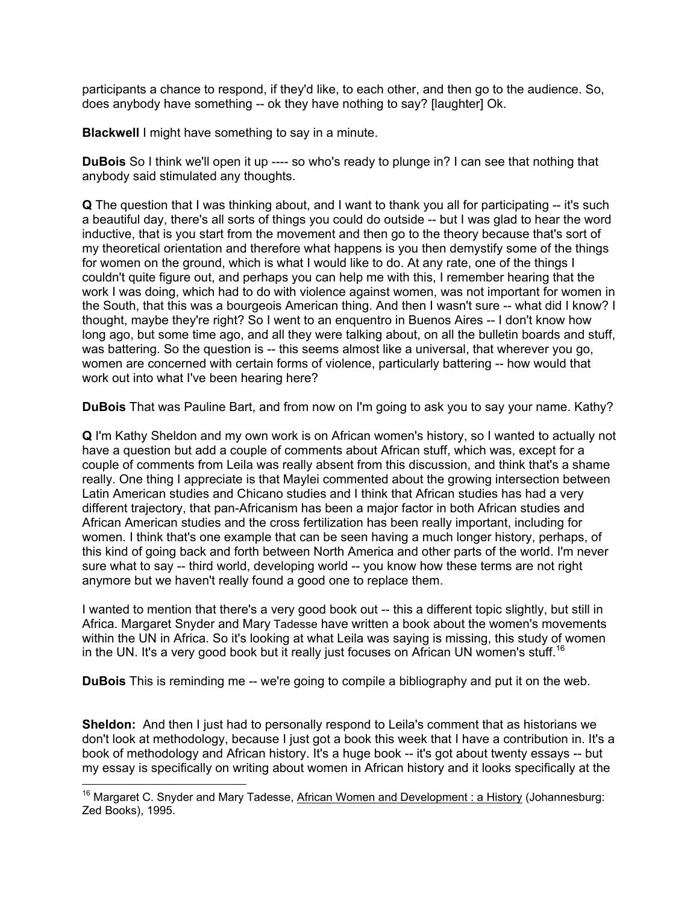participants a chance to respond, if they'd like, to each other, and then go to the audience. So, does anybody have something -- ok they have nothing to say? [laughter] Ok.

**Blackwell** I might have something to say in a minute.

**DuBois** So I think we'll open it up ---- so who's ready to plunge in? I can see that nothing that anybody said stimulated any thoughts.

**Q** The question that I was thinking about, and I want to thank you all for participating -- it's such a beautiful day, there's all sorts of things you could do outside -- but I was glad to hear the word inductive, that is you start from the movement and then go to the theory because that's sort of my theoretical orientation and therefore what happens is you then demystify some of the things for women on the ground, which is what I would like to do. At any rate, one of the things I couldn't quite figure out, and perhaps you can help me with this, I remember hearing that the work I was doing, which had to do with violence against women, was not important for women in the South, that this was a bourgeois American thing. And then I wasn't sure -- what did I know? I thought, maybe they're right? So I went to an enquentro in Buenos Aires -- I don't know how long ago, but some time ago, and all they were talking about, on all the bulletin boards and stuff, was battering. So the question is -- this seems almost like a universal, that wherever vou go. women are concerned with certain forms of violence, particularly battering -- how would that work out into what I've been hearing here?

**DuBois** That was Pauline Bart, and from now on I'm going to ask you to say your name. Kathy?

**Q** I'm Kathy Sheldon and my own work is on African women's history, so I wanted to actually not have a question but add a couple of comments about African stuff, which was, except for a couple of comments from Leila was really absent from this discussion, and think that's a shame really. One thing I appreciate is that Maylei commented about the growing intersection between Latin American studies and Chicano studies and I think that African studies has had a very different trajectory, that pan-Africanism has been a major factor in both African studies and African American studies and the cross fertilization has been really important, including for women. I think that's one example that can be seen having a much longer history, perhaps, of this kind of going back and forth between North America and other parts of the world. I'm never sure what to say -- third world, developing world -- you know how these terms are not right anymore but we haven't really found a good one to replace them.

I wanted to mention that there's a very good book out -- this a different topic slightly, but still in Africa. Margaret Snyder and Mary Tadesse have written a book about the women's movements within the UN in Africa. So it's looking at what Leila was saying is missing, this study of women in the UN. It's a very good book but it really just focuses on African UN women's stuff.<sup>16</sup>

**DuBois** This is reminding me -- we're going to compile a bibliography and put it on the web.

**Sheldon:** And then I just had to personally respond to Leila's comment that as historians we don't look at methodology, because I just got a book this week that I have a contribution in. It's a book of methodology and African history. It's a huge book -- it's got about twenty essays -- but my essay is specifically on writing about women in African history and it looks specifically at the

 $16$  Margaret C. Snyder and Mary Tadesse, African Women and Development : a History (Johannesburg: Zed Books), 1995.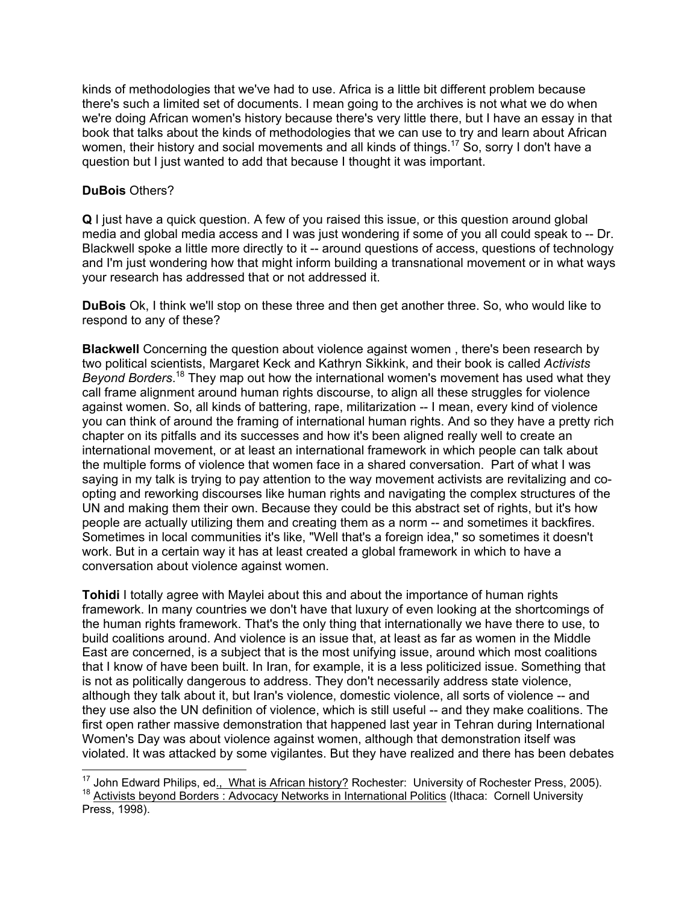kinds of methodologies that we've had to use. Africa is a little bit different problem because there's such a limited set of documents. I mean going to the archives is not what we do when we're doing African women's history because there's very little there, but I have an essay in that book that talks about the kinds of methodologies that we can use to try and learn about African women, their history and social movements and all kinds of things.<sup>17</sup> So, sorry I don't have a question but I just wanted to add that because I thought it was important.

# **DuBois** Others?

 $\overline{a}$ 

**Q** I just have a quick question. A few of you raised this issue, or this question around global media and global media access and I was just wondering if some of you all could speak to -- Dr. Blackwell spoke a little more directly to it -- around questions of access, questions of technology and I'm just wondering how that might inform building a transnational movement or in what ways your research has addressed that or not addressed it.

**DuBois** Ok, I think we'll stop on these three and then get another three. So, who would like to respond to any of these?

**Blackwell** Concerning the question about violence against women , there's been research by two political scientists, Margaret Keck and Kathryn Sikkink, and their book is called *Activists*  Beyond Borders.<sup>18</sup> They map out how the international women's movement has used what they call frame alignment around human rights discourse, to align all these struggles for violence against women. So, all kinds of battering, rape, militarization -- I mean, every kind of violence you can think of around the framing of international human rights. And so they have a pretty rich chapter on its pitfalls and its successes and how it's been aligned really well to create an international movement, or at least an international framework in which people can talk about the multiple forms of violence that women face in a shared conversation.Part of what I was saying in my talk is trying to pay attention to the way movement activists are revitalizing and coopting and reworking discourses like human rights and navigating the complex structures of the UN and making them their own. Because they could be this abstract set of rights, but it's how people are actually utilizing them and creating them as a norm -- and sometimes it backfires. Sometimes in local communities it's like, "Well that's a foreign idea," so sometimes it doesn't work. But in a certain way it has at least created a global framework in which to have a conversation about violence against women.

**Tohidi** I totally agree with Maylei about this and about the importance of human rights framework. In many countries we don't have that luxury of even looking at the shortcomings of the human rights framework. That's the only thing that internationally we have there to use, to build coalitions around. And violence is an issue that, at least as far as women in the Middle East are concerned, is a subject that is the most unifying issue, around which most coalitions that I know of have been built. In Iran, for example, it is a less politicized issue. Something that is not as politically dangerous to address. They don't necessarily address state violence, although they talk about it, but Iran's violence, domestic violence, all sorts of violence -- and they use also the UN definition of violence, which is still useful -- and they make coalitions. The first open rather massive demonstration that happened last year in Tehran during International Women's Day was about violence against women, although that demonstration itself was violated. It was attacked by some vigilantes. But they have realized and there has been debates

<sup>&</sup>lt;sup>17</sup> John Edward Philips, ed., What is African history? Rochester: University of Rochester Press, 2005).<br><sup>18</sup> Activists beyond Borders : Advocacy Networks in International Politics (Ithaca: Cornell University

Press, 1998).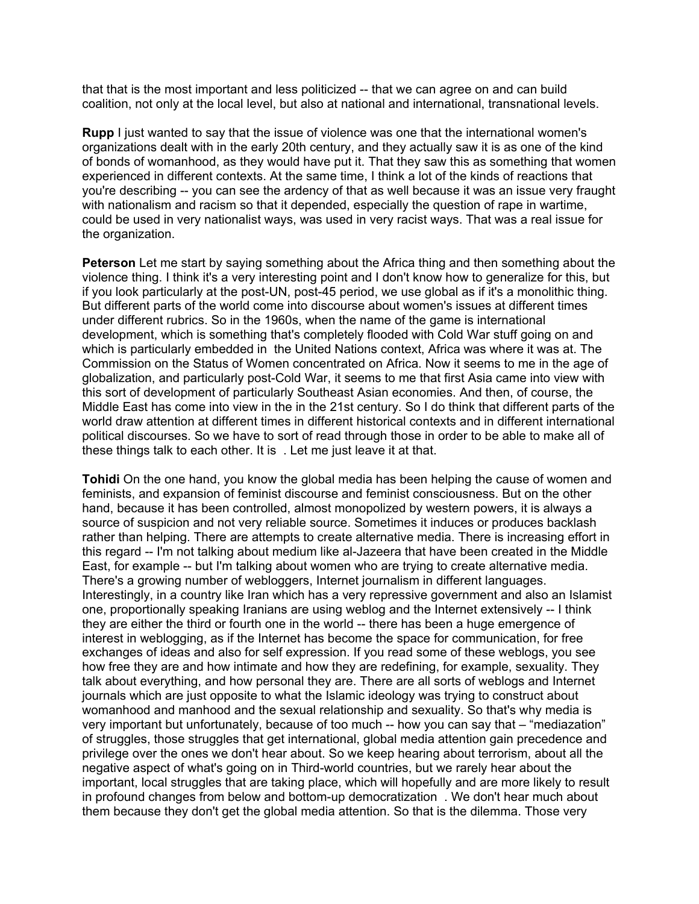that that is the most important and less politicized -- that we can agree on and can build coalition, not only at the local level, but also at national and international, transnational levels.

**Rupp** I just wanted to say that the issue of violence was one that the international women's organizations dealt with in the early 20th century, and they actually saw it is as one of the kind of bonds of womanhood, as they would have put it. That they saw this as something that women experienced in different contexts. At the same time, I think a lot of the kinds of reactions that you're describing -- you can see the ardency of that as well because it was an issue very fraught with nationalism and racism so that it depended, especially the question of rape in wartime, could be used in very nationalist ways, was used in very racist ways. That was a real issue for the organization.

**Peterson** Let me start by saying something about the Africa thing and then something about the violence thing. I think it's a very interesting point and I don't know how to generalize for this, but if you look particularly at the post-UN, post-45 period, we use global as if it's a monolithic thing. But different parts of the world come into discourse about women's issues at different times under different rubrics. So in the 1960s, when the name of the game is international development, which is something that's completely flooded with Cold War stuff going on and which is particularly embedded in the United Nations context, Africa was where it was at. The Commission on the Status of Women concentrated on Africa. Now it seems to me in the age of globalization, and particularly post-Cold War, it seems to me that first Asia came into view with this sort of development of particularly Southeast Asian economies. And then, of course, the Middle East has come into view in the in the 21st century. So I do think that different parts of the world draw attention at different times in different historical contexts and in different international political discourses. So we have to sort of read through those in order to be able to make all of these things talk to each other. It is . Let me just leave it at that.

**Tohidi** On the one hand, you know the global media has been helping the cause of women and feminists, and expansion of feminist discourse and feminist consciousness. But on the other hand, because it has been controlled, almost monopolized by western powers, it is always a source of suspicion and not very reliable source. Sometimes it induces or produces backlash rather than helping. There are attempts to create alternative media. There is increasing effort in this regard -- I'm not talking about medium like al-Jazeera that have been created in the Middle East, for example -- but I'm talking about women who are trying to create alternative media. There's a growing number of webloggers, Internet journalism in different languages. Interestingly, in a country like Iran which has a very repressive government and also an Islamist one, proportionally speaking Iranians are using weblog and the Internet extensively -- I think they are either the third or fourth one in the world -- there has been a huge emergence of interest in weblogging, as if the Internet has become the space for communication, for free exchanges of ideas and also for self expression. If you read some of these weblogs, you see how free they are and how intimate and how they are redefining, for example, sexuality. They talk about everything, and how personal they are. There are all sorts of weblogs and Internet journals which are just opposite to what the Islamic ideology was trying to construct about womanhood and manhood and the sexual relationship and sexuality. So that's why media is very important but unfortunately, because of too much -- how you can say that – "mediazation" of struggles, those struggles that get international, global media attention gain precedence and privilege over the ones we don't hear about. So we keep hearing about terrorism, about all the negative aspect of what's going on in Third-world countries, but we rarely hear about the important, local struggles that are taking place, which will hopefully and are more likely to result in profound changes from below and bottom-up democratization . We don't hear much about them because they don't get the global media attention. So that is the dilemma. Those very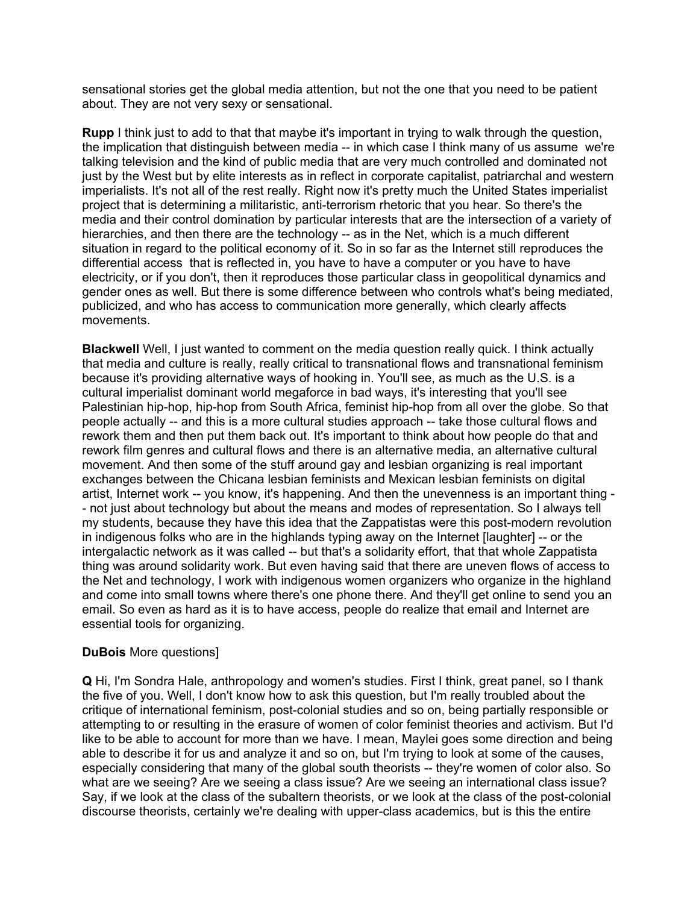sensational stories get the global media attention, but not the one that you need to be patient about. They are not very sexy or sensational.

**Rupp** I think just to add to that that maybe it's important in trying to walk through the question, the implication that distinguish between media -- in which case I think many of us assume we're talking television and the kind of public media that are very much controlled and dominated not just by the West but by elite interests as in reflect in corporate capitalist, patriarchal and western imperialists. It's not all of the rest really. Right now it's pretty much the United States imperialist project that is determining a militaristic, anti-terrorism rhetoric that you hear. So there's the media and their control domination by particular interests that are the intersection of a variety of hierarchies, and then there are the technology -- as in the Net, which is a much different situation in regard to the political economy of it. So in so far as the Internet still reproduces the differential access that is reflected in, you have to have a computer or you have to have electricity, or if you don't, then it reproduces those particular class in geopolitical dynamics and gender ones as well. But there is some difference between who controls what's being mediated, publicized, and who has access to communication more generally, which clearly affects movements.

**Blackwell** Well, I just wanted to comment on the media question really quick. I think actually that media and culture is really, really critical to transnational flows and transnational feminism because it's providing alternative ways of hooking in. You'll see, as much as the U.S. is a cultural imperialist dominant world megaforce in bad ways, it's interesting that you'll see Palestinian hip-hop, hip-hop from South Africa, feminist hip-hop from all over the globe. So that people actually -- and this is a more cultural studies approach -- take those cultural flows and rework them and then put them back out. It's important to think about how people do that and rework film genres and cultural flows and there is an alternative media, an alternative cultural movement. And then some of the stuff around gay and lesbian organizing is real important exchanges between the Chicana lesbian feminists and Mexican lesbian feminists on digital artist, Internet work -- you know, it's happening. And then the unevenness is an important thing - - not just about technology but about the means and modes of representation. So I always tell my students, because they have this idea that the Zappatistas were this post-modern revolution in indigenous folks who are in the highlands typing away on the Internet [laughter] -- or the intergalactic network as it was called -- but that's a solidarity effort, that that whole Zappatista thing was around solidarity work. But even having said that there are uneven flows of access to the Net and technology, I work with indigenous women organizers who organize in the highland and come into small towns where there's one phone there. And they'll get online to send you an email. So even as hard as it is to have access, people do realize that email and Internet are essential tools for organizing.

# **DuBois** More questions]

**Q** Hi, I'm Sondra Hale, anthropology and women's studies. First I think, great panel, so I thank the five of you. Well, I don't know how to ask this question, but I'm really troubled about the critique of international feminism, post-colonial studies and so on, being partially responsible or attempting to or resulting in the erasure of women of color feminist theories and activism. But I'd like to be able to account for more than we have. I mean, Maylei goes some direction and being able to describe it for us and analyze it and so on, but I'm trying to look at some of the causes, especially considering that many of the global south theorists -- they're women of color also. So what are we seeing? Are we seeing a class issue? Are we seeing an international class issue? Say, if we look at the class of the subaltern theorists, or we look at the class of the post-colonial discourse theorists, certainly we're dealing with upper-class academics, but is this the entire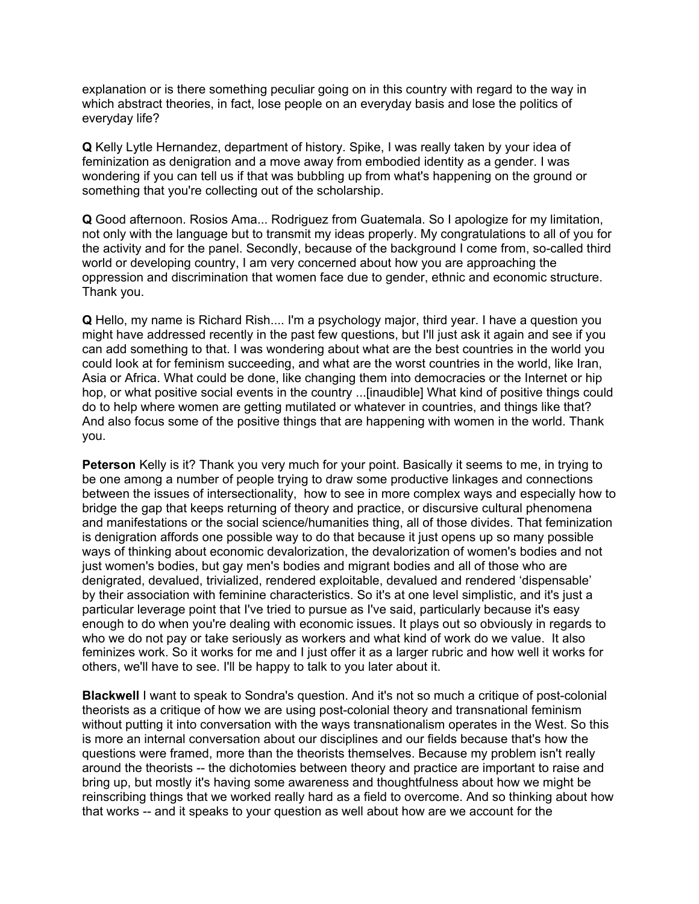explanation or is there something peculiar going on in this country with regard to the way in which abstract theories, in fact, lose people on an everyday basis and lose the politics of everyday life?

**Q** Kelly Lytle Hernandez, department of history. Spike, I was really taken by your idea of feminization as denigration and a move away from embodied identity as a gender. I was wondering if you can tell us if that was bubbling up from what's happening on the ground or something that you're collecting out of the scholarship.

**Q** Good afternoon. Rosios Ama... Rodriguez from Guatemala. So I apologize for my limitation, not only with the language but to transmit my ideas properly. My congratulations to all of you for the activity and for the panel. Secondly, because of the background I come from, so-called third world or developing country, I am very concerned about how you are approaching the oppression and discrimination that women face due to gender, ethnic and economic structure. Thank you.

**Q** Hello, my name is Richard Rish.... I'm a psychology major, third year. I have a question you might have addressed recently in the past few questions, but I'll just ask it again and see if you can add something to that. I was wondering about what are the best countries in the world you could look at for feminism succeeding, and what are the worst countries in the world, like Iran, Asia or Africa. What could be done, like changing them into democracies or the Internet or hip hop, or what positive social events in the country ...[inaudible] What kind of positive things could do to help where women are getting mutilated or whatever in countries, and things like that? And also focus some of the positive things that are happening with women in the world. Thank you.

**Peterson** Kelly is it? Thank you very much for your point. Basically it seems to me, in trying to be one among a number of people trying to draw some productive linkages and connections between the issues of intersectionality, how to see in more complex ways and especially how to bridge the gap that keeps returning of theory and practice, or discursive cultural phenomena and manifestations or the social science/humanities thing, all of those divides. That feminization is denigration affords one possible way to do that because it just opens up so many possible ways of thinking about economic devalorization, the devalorization of women's bodies and not just women's bodies, but gay men's bodies and migrant bodies and all of those who are denigrated, devalued, trivialized, rendered exploitable, devalued and rendered 'dispensable' by their association with feminine characteristics. So it's at one level simplistic, and it's just a particular leverage point that I've tried to pursue as I've said, particularly because it's easy enough to do when you're dealing with economic issues. It plays out so obviously in regards to who we do not pay or take seriously as workers and what kind of work do we value. It also feminizes work. So it works for me and I just offer it as a larger rubric and how well it works for others, we'll have to see. I'll be happy to talk to you later about it.

**Blackwell** I want to speak to Sondra's question. And it's not so much a critique of post-colonial theorists as a critique of how we are using post-colonial theory and transnational feminism without putting it into conversation with the ways transnationalism operates in the West. So this is more an internal conversation about our disciplines and our fields because that's how the questions were framed, more than the theorists themselves. Because my problem isn't really around the theorists -- the dichotomies between theory and practice are important to raise and bring up, but mostly it's having some awareness and thoughtfulness about how we might be reinscribing things that we worked really hard as a field to overcome. And so thinking about how that works -- and it speaks to your question as well about how are we account for the